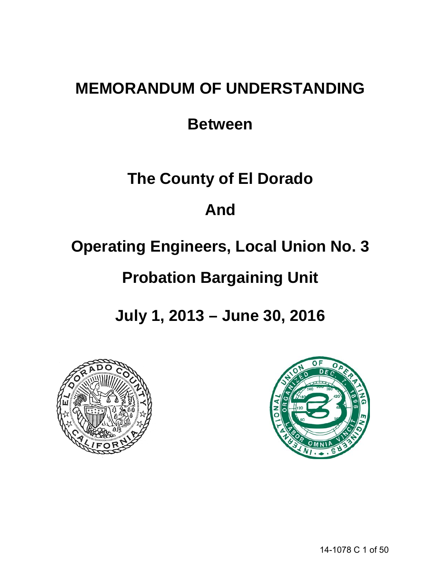# **MEMORANDUM OF UNDERSTANDING**

## **Between**

## **The County of El Dorado**

## **And**

# **Operating Engineers, Local Union No. 3**

# **Probation Bargaining Unit**

**July 1, 2013 – June 30, 2016**



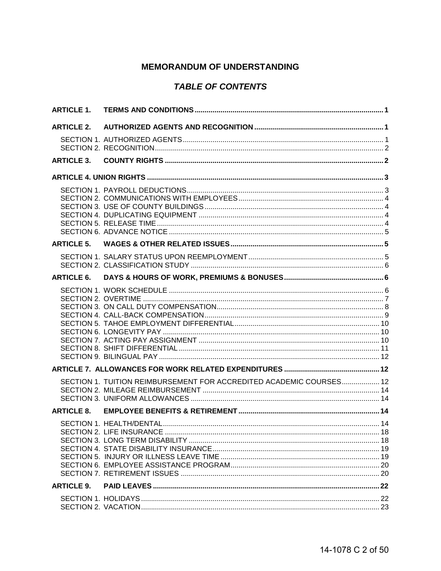## **MEMORANDUM OF UNDERSTANDING**

## **TABLE OF CONTENTS**

| <b>ARTICLE 1.</b> |                                                                     |  |
|-------------------|---------------------------------------------------------------------|--|
| <b>ARTICLE 2.</b> |                                                                     |  |
|                   |                                                                     |  |
| <b>ARTICLE 3.</b> |                                                                     |  |
|                   |                                                                     |  |
|                   |                                                                     |  |
| <b>ARTICLE 5.</b> |                                                                     |  |
|                   |                                                                     |  |
| <b>ARTICLE 6.</b> |                                                                     |  |
|                   |                                                                     |  |
|                   |                                                                     |  |
|                   | SECTION 1. TUITION REIMBURSEMENT FOR ACCREDITED ACADEMIC COURSES 12 |  |
| <b>ARTICLE 8.</b> |                                                                     |  |
|                   |                                                                     |  |
| <b>ARTICLE 9.</b> |                                                                     |  |
|                   |                                                                     |  |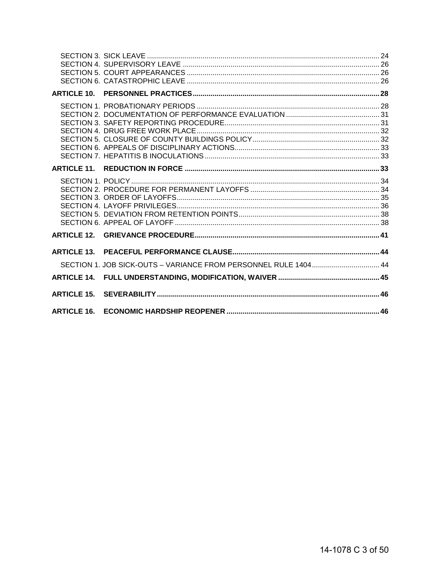| <b>ARTICLE 10</b>  |                                                                 |  |
|--------------------|-----------------------------------------------------------------|--|
|                    |                                                                 |  |
|                    |                                                                 |  |
|                    |                                                                 |  |
|                    |                                                                 |  |
| <b>ARTICLE 13.</b> | SECTION 1. JOB SICK-OUTS - VARIANCE FROM PERSONNEL RULE 1404 44 |  |
|                    |                                                                 |  |
|                    |                                                                 |  |
| <b>ARTICLE 16.</b> |                                                                 |  |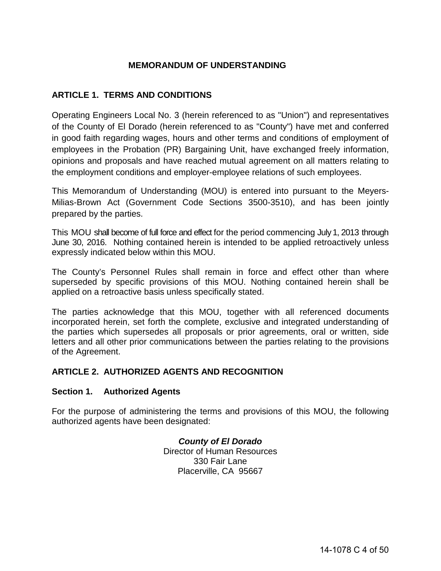## **MEMORANDUM OF UNDERSTANDING**

## <span id="page-3-0"></span>**ARTICLE 1. TERMS AND CONDITIONS**

Operating Engineers Local No. 3 (herein referenced to as "Union") and representatives of the County of El Dorado (herein referenced to as "County") have met and conferred in good faith regarding wages, hours and other terms and conditions of employment of employees in the Probation (PR) Bargaining Unit, have exchanged freely information, opinions and proposals and have reached mutual agreement on all matters relating to the employment conditions and employer-employee relations of such employees.

This Memorandum of Understanding (MOU) is entered into pursuant to the Meyers-Milias-Brown Act (Government Code Sections 3500-3510), and has been jointly prepared by the parties.

This MOU shall become of full force and effect for the period commencing July 1, 2013 through June 30, 2016. Nothing contained herein is intended to be applied retroactively unless expressly indicated below within this MOU.

The County's Personnel Rules shall remain in force and effect other than where superseded by specific provisions of this MOU. Nothing contained herein shall be applied on a retroactive basis unless specifically stated.

The parties acknowledge that this MOU, together with all referenced documents incorporated herein, set forth the complete, exclusive and integrated understanding of the parties which supersedes all proposals or prior agreements, oral or written, side letters and all other prior communications between the parties relating to the provisions of the Agreement.

#### <span id="page-3-1"></span>**ARTICLE 2. AUTHORIZED AGENTS AND RECOGNITION**

#### <span id="page-3-2"></span>**Section 1. Authorized Agents**

For the purpose of administering the terms and provisions of this MOU, the following authorized agents have been designated:

> *County of El Dorado* Director of Human Resources 330 Fair Lane Placerville, CA 95667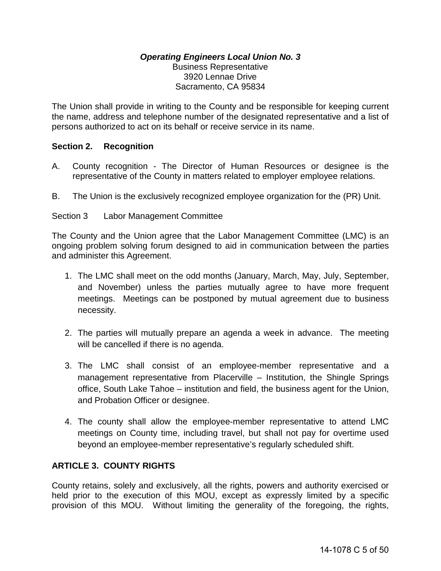#### *Operating Engineers Local Union No. 3* Business Representative 3920 Lennae Drive Sacramento, CA 95834

The Union shall provide in writing to the County and be responsible for keeping current the name, address and telephone number of the designated representative and a list of persons authorized to act on its behalf or receive service in its name.

#### <span id="page-4-0"></span>**Section 2. Recognition**

- A. County recognition The Director of Human Resources or designee is the representative of the County in matters related to employer employee relations.
- B. The Union is the exclusively recognized employee organization for the (PR) Unit.

Section 3 Labor Management Committee

The County and the Union agree that the Labor Management Committee (LMC) is an ongoing problem solving forum designed to aid in communication between the parties and administer this Agreement.

- 1. The LMC shall meet on the odd months (January, March, May, July, September, and November) unless the parties mutually agree to have more frequent meetings. Meetings can be postponed by mutual agreement due to business necessity.
- 2. The parties will mutually prepare an agenda a week in advance. The meeting will be cancelled if there is no agenda.
- 3. The LMC shall consist of an employee-member representative and a management representative from Placerville – Institution, the Shingle Springs office, South Lake Tahoe – institution and field, the business agent for the Union, and Probation Officer or designee.
- 4. The county shall allow the employee-member representative to attend LMC meetings on County time, including travel, but shall not pay for overtime used beyond an employee-member representative's regularly scheduled shift.

## <span id="page-4-1"></span>**ARTICLE 3. COUNTY RIGHTS**

County retains, solely and exclusively, all the rights, powers and authority exercised or held prior to the execution of this MOU, except as expressly limited by a specific provision of this MOU. Without limiting the generality of the foregoing, the rights,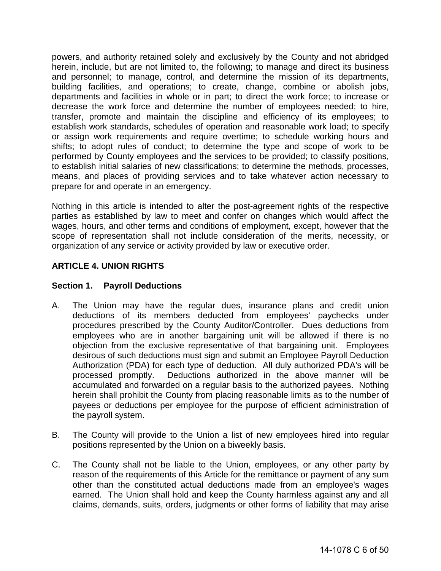powers, and authority retained solely and exclusively by the County and not abridged herein, include, but are not limited to, the following; to manage and direct its business and personnel; to manage, control, and determine the mission of its departments, building facilities, and operations; to create, change, combine or abolish jobs, departments and facilities in whole or in part; to direct the work force; to increase or decrease the work force and determine the number of employees needed; to hire, transfer, promote and maintain the discipline and efficiency of its employees; to establish work standards, schedules of operation and reasonable work load; to specify or assign work requirements and require overtime; to schedule working hours and shifts; to adopt rules of conduct; to determine the type and scope of work to be performed by County employees and the services to be provided; to classify positions, to establish initial salaries of new classifications; to determine the methods, processes, means, and places of providing services and to take whatever action necessary to prepare for and operate in an emergency.

Nothing in this article is intended to alter the post-agreement rights of the respective parties as established by law to meet and confer on changes which would affect the wages, hours, and other terms and conditions of employment, except, however that the scope of representation shall not include consideration of the merits, necessity, or organization of any service or activity provided by law or executive order.

## <span id="page-5-0"></span>**ARTICLE 4. UNION RIGHTS**

## <span id="page-5-1"></span>**Section 1. Payroll Deductions**

- A. The Union may have the regular dues, insurance plans and credit union deductions of its members deducted from employees' paychecks under procedures prescribed by the County Auditor/Controller. Dues deductions from employees who are in another bargaining unit will be allowed if there is no objection from the exclusive representative of that bargaining unit. Employees desirous of such deductions must sign and submit an Employee Payroll Deduction Authorization (PDA) for each type of deduction. All duly authorized PDA's will be processed promptly. Deductions authorized in the above manner will be accumulated and forwarded on a regular basis to the authorized payees. Nothing herein shall prohibit the County from placing reasonable limits as to the number of payees or deductions per employee for the purpose of efficient administration of the payroll system.
- B. The County will provide to the Union a list of new employees hired into regular positions represented by the Union on a biweekly basis.
- C. The County shall not be liable to the Union, employees, or any other party by reason of the requirements of this Article for the remittance or payment of any sum other than the constituted actual deductions made from an employee's wages earned. The Union shall hold and keep the County harmless against any and all claims, demands, suits, orders, judgments or other forms of liability that may arise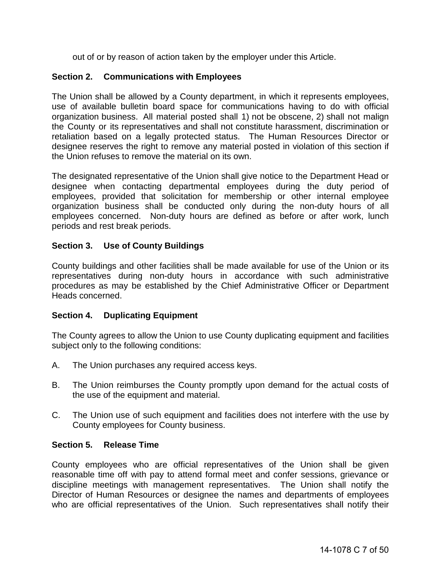out of or by reason of action taken by the employer under this Article.

## <span id="page-6-0"></span>**Section 2. Communications with Employees**

The Union shall be allowed by a County department, in which it represents employees, use of available bulletin board space for communications having to do with official organization business. All material posted shall 1) not be obscene, 2) shall not malign the County or its representatives and shall not constitute harassment, discrimination or retaliation based on a legally protected status. The Human Resources Director or designee reserves the right to remove any material posted in violation of this section if the Union refuses to remove the material on its own.

The designated representative of the Union shall give notice to the Department Head or designee when contacting departmental employees during the duty period of employees, provided that solicitation for membership or other internal employee organization business shall be conducted only during the non-duty hours of all employees concerned. Non-duty hours are defined as before or after work, lunch periods and rest break periods.

## <span id="page-6-1"></span>**Section 3. Use of County Buildings**

County buildings and other facilities shall be made available for use of the Union or its representatives during non-duty hours in accordance with such administrative procedures as may be established by the Chief Administrative Officer or Department Heads concerned.

#### <span id="page-6-2"></span>**Section 4. Duplicating Equipment**

The County agrees to allow the Union to use County duplicating equipment and facilities subject only to the following conditions:

- A. The Union purchases any required access keys.
- B. The Union reimburses the County promptly upon demand for the actual costs of the use of the equipment and material.
- C. The Union use of such equipment and facilities does not interfere with the use by County employees for County business.

#### <span id="page-6-3"></span>**Section 5. Release Time**

County employees who are official representatives of the Union shall be given reasonable time off with pay to attend formal meet and confer sessions, grievance or discipline meetings with management representatives. The Union shall notify the Director of Human Resources or designee the names and departments of employees who are official representatives of the Union. Such representatives shall notify their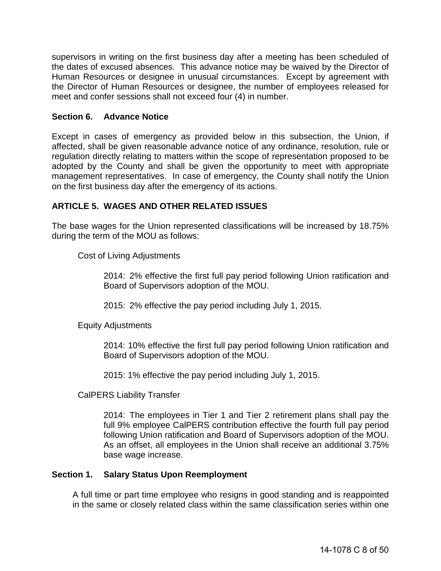supervisors in writing on the first business day after a meeting has been scheduled of the dates of excused absences. This advance notice may be waived by the Director of Human Resources or designee in unusual circumstances. Except by agreement with the Director of Human Resources or designee, the number of employees released for meet and confer sessions shall not exceed four (4) in number.

#### <span id="page-7-0"></span>**Section 6. Advance Notice**

Except in cases of emergency as provided below in this subsection, the Union, if affected, shall be given reasonable advance notice of any ordinance, resolution, rule or regulation directly relating to matters within the scope of representation proposed to be adopted by the County and shall be given the opportunity to meet with appropriate management representatives. In case of emergency, the County shall notify the Union on the first business day after the emergency of its actions.

#### <span id="page-7-1"></span>**ARTICLE 5. WAGES AND OTHER RELATED ISSUES**

The base wages for the Union represented classifications will be increased by 18.75% during the term of the MOU as follows:

Cost of Living Adjustments

2014: 2% effective the first full pay period following Union ratification and Board of Supervisors adoption of the MOU.

2015: 2% effective the pay period including July 1, 2015.

Equity Adjustments

2014: 10% effective the first full pay period following Union ratification and Board of Supervisors adoption of the MOU.

2015: 1% effective the pay period including July 1, 2015.

CalPERS Liability Transfer

2014: The employees in Tier 1 and Tier 2 retirement plans shall pay the full 9% employee CalPERS contribution effective the fourth full pay period following Union ratification and Board of Supervisors adoption of the MOU. As an offset, all employees in the Union shall receive an additional 3.75% base wage increase.

#### <span id="page-7-2"></span>**Section 1. Salary Status Upon Reemployment**

A full time or part time employee who resigns in good standing and is reappointed in the same or closely related class within the same classification series within one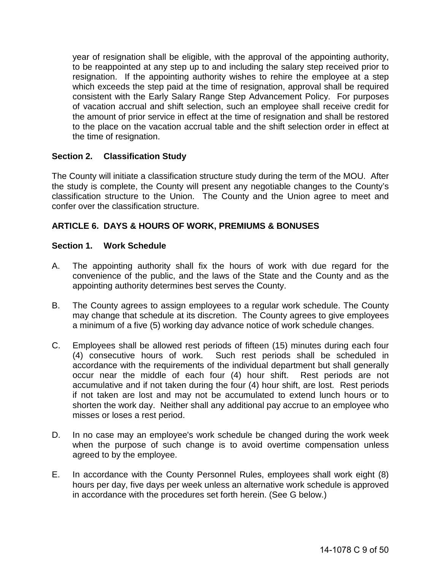year of resignation shall be eligible, with the approval of the appointing authority, to be reappointed at any step up to and including the salary step received prior to resignation. If the appointing authority wishes to rehire the employee at a step which exceeds the step paid at the time of resignation, approval shall be required consistent with the Early Salary Range Step Advancement Policy. For purposes of vacation accrual and shift selection, such an employee shall receive credit for the amount of prior service in effect at the time of resignation and shall be restored to the place on the vacation accrual table and the shift selection order in effect at the time of resignation.

## <span id="page-8-0"></span>**Section 2. Classification Study**

The County will initiate a classification structure study during the term of the MOU. After the study is complete, the County will present any negotiable changes to the County's classification structure to the Union. The County and the Union agree to meet and confer over the classification structure.

## <span id="page-8-1"></span>**ARTICLE 6. DAYS & HOURS OF WORK, PREMIUMS & BONUSES**

#### <span id="page-8-2"></span>**Section 1. Work Schedule**

- A. The appointing authority shall fix the hours of work with due regard for the convenience of the public, and the laws of the State and the County and as the appointing authority determines best serves the County.
- B. The County agrees to assign employees to a regular work schedule. The County may change that schedule at its discretion. The County agrees to give employees a minimum of a five (5) working day advance notice of work schedule changes.
- C. Employees shall be allowed rest periods of fifteen (15) minutes during each four (4) consecutive hours of work. Such rest periods shall be scheduled in accordance with the requirements of the individual department but shall generally occur near the middle of each four (4) hour shift. Rest periods are not accumulative and if not taken during the four (4) hour shift, are lost. Rest periods if not taken are lost and may not be accumulated to extend lunch hours or to shorten the work day. Neither shall any additional pay accrue to an employee who misses or loses a rest period.
- D. In no case may an employee's work schedule be changed during the work week when the purpose of such change is to avoid overtime compensation unless agreed to by the employee.
- E. In accordance with the County Personnel Rules, employees shall work eight (8) hours per day, five days per week unless an alternative work schedule is approved in accordance with the procedures set forth herein. (See G below.)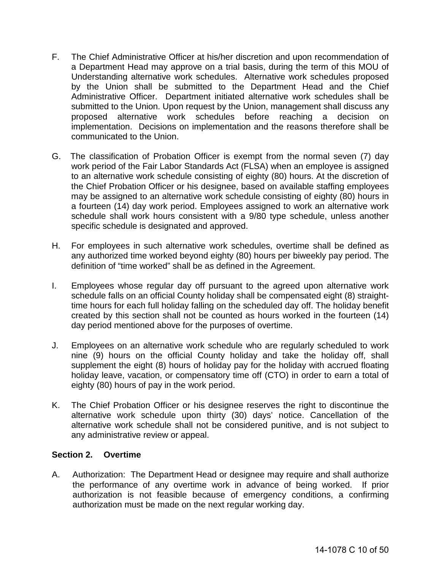- F. The Chief Administrative Officer at his/her discretion and upon recommendation of a Department Head may approve on a trial basis, during the term of this MOU of Understanding alternative work schedules. Alternative work schedules proposed by the Union shall be submitted to the Department Head and the Chief Administrative Officer. Department initiated alternative work schedules shall be submitted to the Union. Upon request by the Union, management shall discuss any proposed alternative work schedules before reaching a decision on implementation. Decisions on implementation and the reasons therefore shall be communicated to the Union.
- G. The classification of Probation Officer is exempt from the normal seven (7) day work period of the Fair Labor Standards Act (FLSA) when an employee is assigned to an alternative work schedule consisting of eighty (80) hours. At the discretion of the Chief Probation Officer or his designee, based on available staffing employees may be assigned to an alternative work schedule consisting of eighty (80) hours in a fourteen (14) day work period. Employees assigned to work an alternative work schedule shall work hours consistent with a 9/80 type schedule, unless another specific schedule is designated and approved.
- H. For employees in such alternative work schedules, overtime shall be defined as any authorized time worked beyond eighty (80) hours per biweekly pay period. The definition of "time worked" shall be as defined in the Agreement.
- I. Employees whose regular day off pursuant to the agreed upon alternative work schedule falls on an official County holiday shall be compensated eight (8) straighttime hours for each full holiday falling on the scheduled day off. The holiday benefit created by this section shall not be counted as hours worked in the fourteen (14) day period mentioned above for the purposes of overtime.
- J. Employees on an alternative work schedule who are regularly scheduled to work nine (9) hours on the official County holiday and take the holiday off, shall supplement the eight (8) hours of holiday pay for the holiday with accrued floating holiday leave, vacation, or compensatory time off (CTO) in order to earn a total of eighty (80) hours of pay in the work period.
- K. The Chief Probation Officer or his designee reserves the right to discontinue the alternative work schedule upon thirty (30) days' notice. Cancellation of the alternative work schedule shall not be considered punitive, and is not subject to any administrative review or appeal.

#### <span id="page-9-0"></span>**Section 2. Overtime**

A. Authorization: The Department Head or designee may require and shall authorize the performance of any overtime work in advance of being worked. If prior authorization is not feasible because of emergency conditions, a confirming authorization must be made on the next regular working day.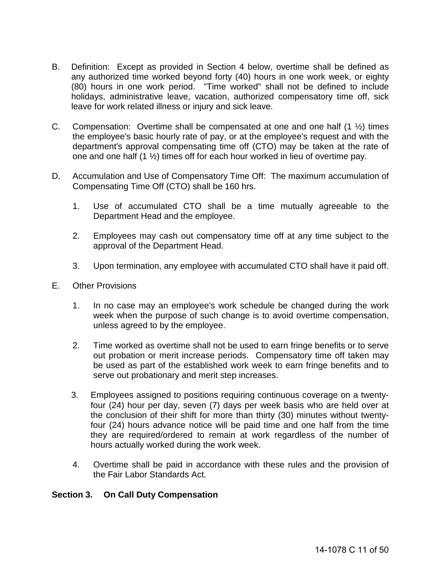- B. Definition: Except as provided in Section 4 below, overtime shall be defined as any authorized time worked beyond forty (40) hours in one work week, or eighty (80) hours in one work period. "Time worked" shall not be defined to include holidays, administrative leave, vacation, authorized compensatory time off, sick leave for work related illness or injury and sick leave.
- C. Compensation: Overtime shall be compensated at one and one half  $(1 \frac{1}{2})$  times the employee's basic hourly rate of pay, or at the employee's request and with the department's approval compensating time off (CTO) may be taken at the rate of one and one half (1 ½) times off for each hour worked in lieu of overtime pay.
- D. Accumulation and Use of Compensatory Time Off: The maximum accumulation of Compensating Time Off (CTO) shall be 160 hrs.
	- 1. Use of accumulated CTO shall be a time mutually agreeable to the Department Head and the employee.
	- 2. Employees may cash out compensatory time off at any time subject to the approval of the Department Head.
	- 3. Upon termination, any employee with accumulated CTO shall have it paid off.
- E. Other Provisions
	- 1. In no case may an employee's work schedule be changed during the work week when the purpose of such change is to avoid overtime compensation, unless agreed to by the employee.
	- 2. Time worked as overtime shall not be used to earn fringe benefits or to serve out probation or merit increase periods. Compensatory time off taken may be used as part of the established work week to earn fringe benefits and to serve out probationary and merit step increases.
	- 3. Employees assigned to positions requiring continuous coverage on a twentyfour (24) hour per day, seven (7) days per week basis who are held over at the conclusion of their shift for more than thirty (30) minutes without twentyfour (24) hours advance notice will be paid time and one half from the time they are required/ordered to remain at work regardless of the number of hours actually worked during the work week.
	- 4. Overtime shall be paid in accordance with these rules and the provision of the Fair Labor Standards Act.

#### <span id="page-10-0"></span>**Section 3. On Call Duty Compensation**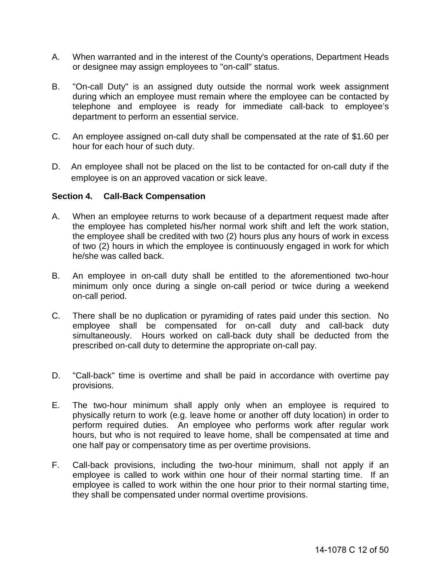- A. When warranted and in the interest of the County's operations, Department Heads or designee may assign employees to "on-call" status.
- B. "On-call Duty" is an assigned duty outside the normal work week assignment during which an employee must remain where the employee can be contacted by telephone and employee is ready for immediate call-back to employee's department to perform an essential service.
- C. An employee assigned on-call duty shall be compensated at the rate of \$1.60 per hour for each hour of such duty.
- D. An employee shall not be placed on the list to be contacted for on-call duty if the employee is on an approved vacation or sick leave.

#### <span id="page-11-0"></span>**Section 4. Call-Back Compensation**

- A. When an employee returns to work because of a department request made after the employee has completed his/her normal work shift and left the work station, the employee shall be credited with two (2) hours plus any hours of work in excess of two (2) hours in which the employee is continuously engaged in work for which he/she was called back.
- B. An employee in on-call duty shall be entitled to the aforementioned two-hour minimum only once during a single on-call period or twice during a weekend on-call period.
- C. There shall be no duplication or pyramiding of rates paid under this section. No employee shall be compensated for on-call duty and call-back duty simultaneously. Hours worked on call-back duty shall be deducted from the prescribed on-call duty to determine the appropriate on-call pay.
- D. "Call-back" time is overtime and shall be paid in accordance with overtime pay provisions.
- E. The two-hour minimum shall apply only when an employee is required to physically return to work (e.g. leave home or another off duty location) in order to perform required duties. An employee who performs work after regular work hours, but who is not required to leave home, shall be compensated at time and one half pay or compensatory time as per overtime provisions.
- F. Call-back provisions, including the two-hour minimum, shall not apply if an employee is called to work within one hour of their normal starting time. If an employee is called to work within the one hour prior to their normal starting time, they shall be compensated under normal overtime provisions.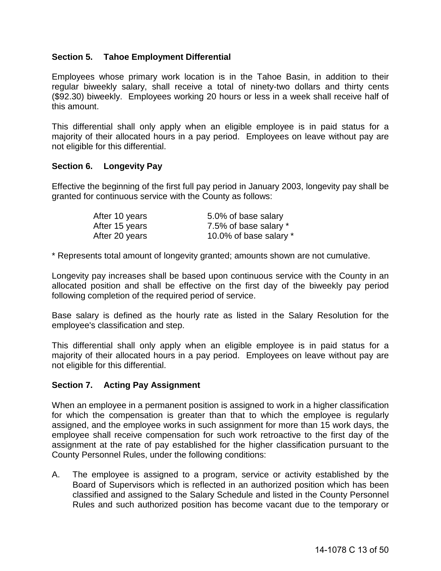#### <span id="page-12-0"></span>**Section 5. Tahoe Employment Differential**

Employees whose primary work location is in the Tahoe Basin, in addition to their regular biweekly salary, shall receive a total of ninety-two dollars and thirty cents (\$92.30) biweekly. Employees working 20 hours or less in a week shall receive half of this amount.

This differential shall only apply when an eligible employee is in paid status for a majority of their allocated hours in a pay period. Employees on leave without pay are not eligible for this differential.

#### <span id="page-12-1"></span>**Section 6. Longevity Pay**

Effective the beginning of the first full pay period in January 2003, longevity pay shall be granted for continuous service with the County as follows:

| After 10 years | 5.0% of base salary    |
|----------------|------------------------|
| After 15 years | 7.5% of base salary *  |
| After 20 years | 10.0% of base salary * |

\* Represents total amount of longevity granted; amounts shown are not cumulative.

Longevity pay increases shall be based upon continuous service with the County in an allocated position and shall be effective on the first day of the biweekly pay period following completion of the required period of service.

Base salary is defined as the hourly rate as listed in the Salary Resolution for the employee's classification and step.

This differential shall only apply when an eligible employee is in paid status for a majority of their allocated hours in a pay period. Employees on leave without pay are not eligible for this differential.

#### <span id="page-12-2"></span>**Section 7. Acting Pay Assignment**

When an employee in a permanent position is assigned to work in a higher classification for which the compensation is greater than that to which the employee is regularly assigned, and the employee works in such assignment for more than 15 work days, the employee shall receive compensation for such work retroactive to the first day of the assignment at the rate of pay established for the higher classification pursuant to the County Personnel Rules, under the following conditions:

A. The employee is assigned to a program, service or activity established by the Board of Supervisors which is reflected in an authorized position which has been classified and assigned to the Salary Schedule and listed in the County Personnel Rules and such authorized position has become vacant due to the temporary or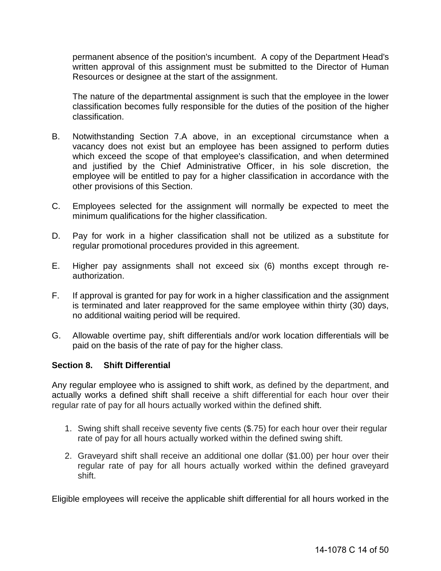permanent absence of the position's incumbent. A copy of the Department Head's written approval of this assignment must be submitted to the Director of Human Resources or designee at the start of the assignment.

The nature of the departmental assignment is such that the employee in the lower classification becomes fully responsible for the duties of the position of the higher classification.

- B. Notwithstanding Section 7.A above, in an exceptional circumstance when a vacancy does not exist but an employee has been assigned to perform duties which exceed the scope of that employee's classification, and when determined and justified by the Chief Administrative Officer, in his sole discretion, the employee will be entitled to pay for a higher classification in accordance with the other provisions of this Section.
- C. Employees selected for the assignment will normally be expected to meet the minimum qualifications for the higher classification.
- D. Pay for work in a higher classification shall not be utilized as a substitute for regular promotional procedures provided in this agreement.
- E. Higher pay assignments shall not exceed six (6) months except through reauthorization.
- F. If approval is granted for pay for work in a higher classification and the assignment is terminated and later reapproved for the same employee within thirty (30) days, no additional waiting period will be required.
- G. Allowable overtime pay, shift differentials and/or work location differentials will be paid on the basis of the rate of pay for the higher class.

#### <span id="page-13-0"></span>**Section 8. Shift Differential**

Any regular employee who is assigned to shift work, as defined by the department, and actually works a defined shift shall receive a shift differential for each hour over their regular rate of pay for all hours actually worked within the defined shift.

- 1. Swing shift shall receive seventy five cents (\$.75) for each hour over their regular rate of pay for all hours actually worked within the defined swing shift.
- 2. Graveyard shift shall receive an additional one dollar (\$1.00) per hour over their regular rate of pay for all hours actually worked within the defined graveyard shift.

Eligible employees will receive the applicable shift differential for all hours worked in the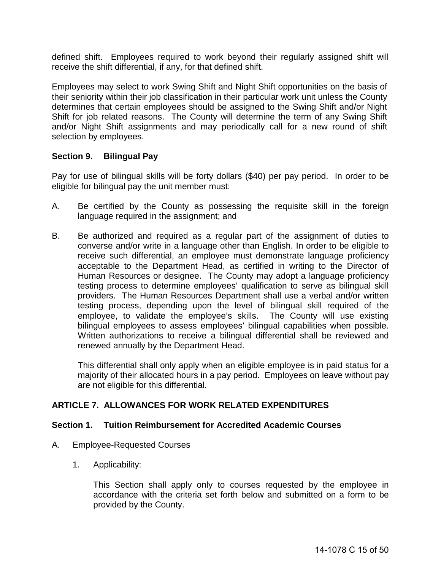defined shift. Employees required to work beyond their regularly assigned shift will receive the shift differential, if any, for that defined shift.

Employees may select to work Swing Shift and Night Shift opportunities on the basis of their seniority within their job classification in their particular work unit unless the County determines that certain employees should be assigned to the Swing Shift and/or Night Shift for job related reasons. The County will determine the term of any Swing Shift and/or Night Shift assignments and may periodically call for a new round of shift selection by employees.

#### <span id="page-14-0"></span>**Section 9. Bilingual Pay**

Pay for use of bilingual skills will be forty dollars (\$40) per pay period. In order to be eligible for bilingual pay the unit member must:

- A. Be certified by the County as possessing the requisite skill in the foreign language required in the assignment; and
- B. Be authorized and required as a regular part of the assignment of duties to converse and/or write in a language other than English. In order to be eligible to receive such differential, an employee must demonstrate language proficiency acceptable to the Department Head, as certified in writing to the Director of Human Resources or designee. The County may adopt a language proficiency testing process to determine employees' qualification to serve as bilingual skill providers. The Human Resources Department shall use a verbal and/or written testing process, depending upon the level of bilingual skill required of the employee, to validate the employee's skills. The County will use existing bilingual employees to assess employees' bilingual capabilities when possible. Written authorizations to receive a bilingual differential shall be reviewed and renewed annually by the Department Head.

This differential shall only apply when an eligible employee is in paid status for a majority of their allocated hours in a pay period. Employees on leave without pay are not eligible for this differential.

#### <span id="page-14-1"></span>**ARTICLE 7. ALLOWANCES FOR WORK RELATED EXPENDITURES**

#### <span id="page-14-2"></span>**Section 1. Tuition Reimbursement for Accredited Academic Courses**

- A. Employee-Requested Courses
	- 1. Applicability:

This Section shall apply only to courses requested by the employee in accordance with the criteria set forth below and submitted on a form to be provided by the County.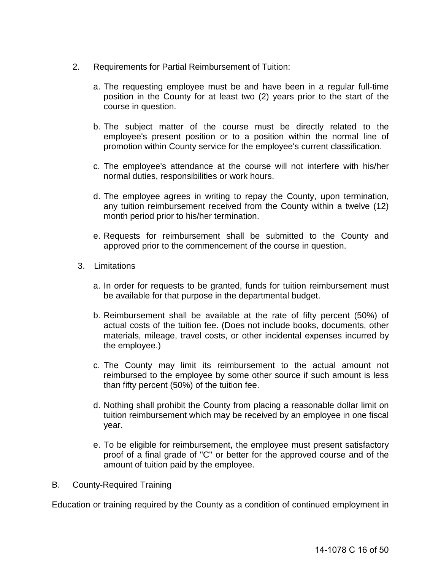- 2. Requirements for Partial Reimbursement of Tuition:
	- a. The requesting employee must be and have been in a regular full-time position in the County for at least two (2) years prior to the start of the course in question.
	- b. The subject matter of the course must be directly related to the employee's present position or to a position within the normal line of promotion within County service for the employee's current classification.
	- c. The employee's attendance at the course will not interfere with his/her normal duties, responsibilities or work hours.
	- d. The employee agrees in writing to repay the County, upon termination, any tuition reimbursement received from the County within a twelve (12) month period prior to his/her termination.
	- e. Requests for reimbursement shall be submitted to the County and approved prior to the commencement of the course in question.
	- 3. Limitations
		- a. In order for requests to be granted, funds for tuition reimbursement must be available for that purpose in the departmental budget.
		- b. Reimbursement shall be available at the rate of fifty percent (50%) of actual costs of the tuition fee. (Does not include books, documents, other materials, mileage, travel costs, or other incidental expenses incurred by the employee.)
		- c. The County may limit its reimbursement to the actual amount not reimbursed to the employee by some other source if such amount is less than fifty percent (50%) of the tuition fee.
		- d. Nothing shall prohibit the County from placing a reasonable dollar limit on tuition reimbursement which may be received by an employee in one fiscal year.
		- e. To be eligible for reimbursement, the employee must present satisfactory proof of a final grade of "C" or better for the approved course and of the amount of tuition paid by the employee.
- B. County-Required Training

Education or training required by the County as a condition of continued employment in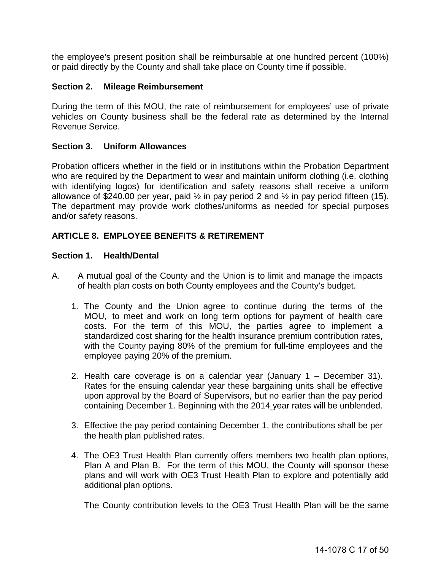the employee's present position shall be reimbursable at one hundred percent (100%) or paid directly by the County and shall take place on County time if possible.

#### <span id="page-16-0"></span>**Section 2. Mileage Reimbursement**

During the term of this MOU, the rate of reimbursement for employees' use of private vehicles on County business shall be the federal rate as determined by the Internal Revenue Service.

#### <span id="page-16-1"></span>**Section 3. Uniform Allowances**

Probation officers whether in the field or in institutions within the Probation Department who are required by the Department to wear and maintain uniform clothing (i.e. clothing with identifying logos) for identification and safety reasons shall receive a uniform allowance of  $$240.00$  per year, paid  $\frac{1}{2}$  in pay period 2 and  $\frac{1}{2}$  in pay period fifteen (15). The department may provide work clothes/uniforms as needed for special purposes and/or safety reasons.

#### <span id="page-16-2"></span>**ARTICLE 8. EMPLOYEE BENEFITS & RETIREMENT**

#### <span id="page-16-3"></span>**Section 1. Health/Dental**

- A. A mutual goal of the County and the Union is to limit and manage the impacts of health plan costs on both County employees and the County's budget.
	- 1. The County and the Union agree to continue during the terms of the MOU, to meet and work on long term options for payment of health care costs. For the term of this MOU, the parties agree to implement a standardized cost sharing for the health insurance premium contribution rates, with the County paying 80% of the premium for full-time employees and the employee paying 20% of the premium.
	- 2. Health care coverage is on a calendar year (January 1 December 31). Rates for the ensuing calendar year these bargaining units shall be effective upon approval by the Board of Supervisors, but no earlier than the pay period containing December 1. Beginning with the 2014 year rates will be unblended.
	- 3. Effective the pay period containing December 1, the contributions shall be per the health plan published rates.
	- 4. The OE3 Trust Health Plan currently offers members two health plan options, Plan A and Plan B. For the term of this MOU, the County will sponsor these plans and will work with OE3 Trust Health Plan to explore and potentially add additional plan options.

The County contribution levels to the OE3 Trust Health Plan will be the same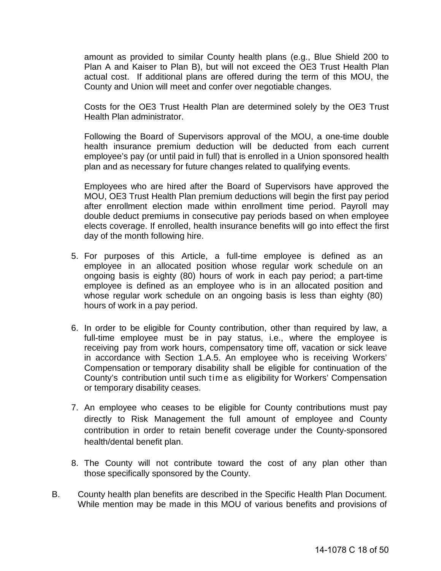amount as provided to similar County health plans (e.g., Blue Shield 200 to Plan A and Kaiser to Plan B), but will not exceed the OE3 Trust Health Plan actual cost. If additional plans are offered during the term of this MOU, the County and Union will meet and confer over negotiable changes.

Costs for the OE3 Trust Health Plan are determined solely by the OE3 Trust Health Plan administrator.

Following the Board of Supervisors approval of the MOU, a one-time double health insurance premium deduction will be deducted from each current employee's pay (or until paid in full) that is enrolled in a Union sponsored health plan and as necessary for future changes related to qualifying events.

Employees who are hired after the Board of Supervisors have approved the MOU, OE3 Trust Health Plan premium deductions will begin the first pay period after enrollment election made within enrollment time period. Payroll may double deduct premiums in consecutive pay periods based on when employee elects coverage. If enrolled, health insurance benefits will go into effect the first day of the month following hire.

- 5. For purposes of this Article, a full-time employee is defined as an employee in an allocated position whose regular work schedule on an ongoing basis is eighty (80) hours of work in each pay period; a part-time employee is defined as an employee who is in an allocated position and whose regular work schedule on an ongoing basis is less than eighty (80) hours of work in a pay period.
- 6. In order to be eligible for County contribution, other than required by law, a full-time employee must be in pay status, i.e., where the employee is receiving pay from work hours, compensatory time off, vacation or sick leave in accordance with Section 1.A.5. An employee who is receiving Workers' Compensation or temporary disability shall be eligible for continuation of the County's contribution until such time as eligibility for Workers' Compensation or temporary disability ceases.
- 7. An employee who ceases to be eligible for County contributions must pay directly to Risk Management the full amount of employee and County contribution in order to retain benefit coverage under the County-sponsored health/dental benefit plan.
- 8. The County will not contribute toward the cost of any plan other than those specifically sponsored by the County.
- B. County health plan benefits are described in the Specific Health Plan Document. While mention may be made in this MOU of various benefits and provisions of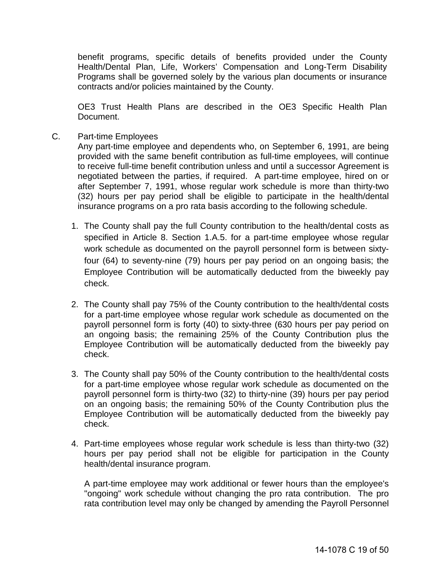benefit programs, specific details of benefits provided under the County Health/Dental Plan, Life, Workers' Compensation and Long-Term Disability Programs shall be governed solely by the various plan documents or insurance contracts and/or policies maintained by the County.

OE3 Trust Health Plans are described in the OE3 Specific Health Plan Document.

C. Part-time Employees

Any part-time employee and dependents who, on September 6, 1991, are being provided with the same benefit contribution as full-time employees, will continue to receive full-time benefit contribution unless and until a successor Agreement is negotiated between the parties, if required. A part-time employee, hired on or after September 7, 1991, whose regular work schedule is more than thirty-two (32) hours per pay period shall be eligible to participate in the health/dental insurance programs on a pro rata basis according to the following schedule.

- 1. The County shall pay the full County contribution to the health/dental costs as specified in Article 8. Section 1.A.5. for a part-time employee whose regular work schedule as documented on the payroll personnel form is between sixtyfour (64) to seventy-nine (79) hours per pay period on an ongoing basis; the Employee Contribution will be automatically deducted from the biweekly pay check.
- 2. The County shall pay 75% of the County contribution to the health/dental costs for a part-time employee whose regular work schedule as documented on the payroll personnel form is forty (40) to sixty-three (630 hours per pay period on an ongoing basis; the remaining 25% of the County Contribution plus the Employee Contribution will be automatically deducted from the biweekly pay check.
- 3. The County shall pay 50% of the County contribution to the health/dental costs for a part-time employee whose regular work schedule as documented on the payroll personnel form is thirty-two (32) to thirty-nine (39) hours per pay period on an ongoing basis; the remaining 50% of the County Contribution plus the Employee Contribution will be automatically deducted from the biweekly pay check.
- 4. Part-time employees whose regular work schedule is less than thirty-two (32) hours per pay period shall not be eligible for participation in the County health/dental insurance program.

A part-time employee may work additional or fewer hours than the employee's "ongoing" work schedule without changing the pro rata contribution. The pro rata contribution level may only be changed by amending the Payroll Personnel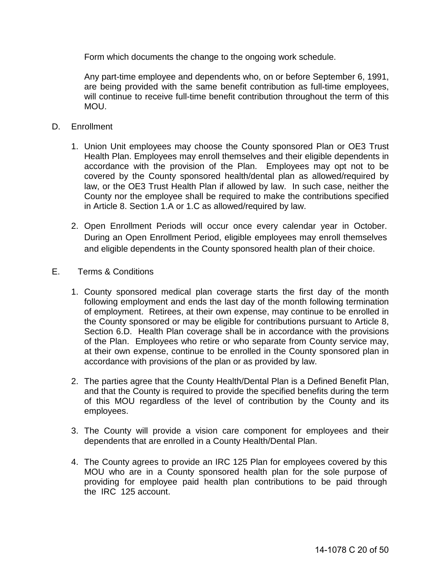Form which documents the change to the ongoing work schedule.

Any part-time employee and dependents who, on or before September 6, 1991, are being provided with the same benefit contribution as full-time employees, will continue to receive full-time benefit contribution throughout the term of this MOU.

- D. Enrollment
	- 1. Union Unit employees may choose the County sponsored Plan or OE3 Trust Health Plan. Employees may enroll themselves and their eligible dependents in accordance with the provision of the Plan. Employees may opt not to be covered by the County sponsored health/dental plan as allowed/required by law, or the OE3 Trust Health Plan if allowed by law. In such case, neither the County nor the employee shall be required to make the contributions specified in Article 8. Section 1.A or 1.C as allowed/required by law.
	- 2. Open Enrollment Periods will occur once every calendar year in October. During an Open Enrollment Period, eligible employees may enroll themselves and eligible dependents in the County sponsored health plan of their choice.
- E. Terms & Conditions
	- 1. County sponsored medical plan coverage starts the first day of the month following employment and ends the last day of the month following termination of employment. Retirees, at their own expense, may continue to be enrolled in the County sponsored or may be eligible for contributions pursuant to Article 8, Section 6.D. Health Plan coverage shall be in accordance with the provisions of the Plan. Employees who retire or who separate from County service may, at their own expense, continue to be enrolled in the County sponsored plan in accordance with provisions of the plan or as provided by law.
	- 2. The parties agree that the County Health/Dental Plan is a Defined Benefit Plan, and that the County is required to provide the specified benefits during the term of this MOU regardless of the level of contribution by the County and its employees.
	- 3. The County will provide a vision care component for employees and their dependents that are enrolled in a County Health/Dental Plan.
	- 4. The County agrees to provide an IRC 125 Plan for employees covered by this MOU who are in a County sponsored health plan for the sole purpose of providing for employee paid health plan contributions to be paid through the IRC 125 account.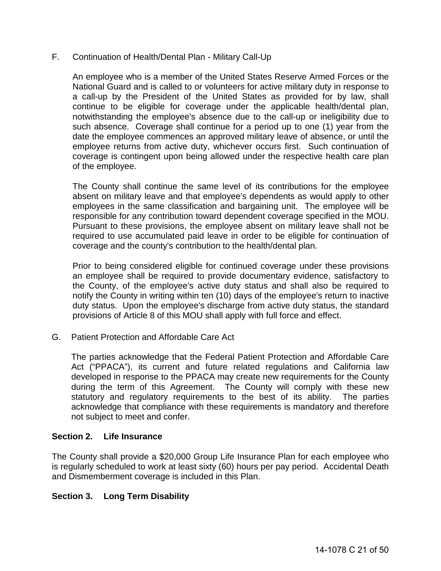#### F. Continuation of Health/Dental Plan - Military Call-Up

An employee who is a member of the United States Reserve Armed Forces or the National Guard and is called to or volunteers for active military duty in response to a call-up by the President of the United States as provided for by law, shall continue to be eligible for coverage under the applicable health/dental plan, notwithstanding the employee's absence due to the call-up or ineligibility due to such absence. Coverage shall continue for a period up to one (1) year from the date the employee commences an approved military leave of absence, or until the employee returns from active duty, whichever occurs first. Such continuation of coverage is contingent upon being allowed under the respective health care plan of the employee.

The County shall continue the same level of its contributions for the employee absent on military leave and that employee's dependents as would apply to other employees in the same classification and bargaining unit. The employee will be responsible for any contribution toward dependent coverage specified in the MOU. Pursuant to these provisions, the employee absent on military leave shall not be required to use accumulated paid leave in order to be eligible for continuation of coverage and the county's contribution to the health/dental plan.

Prior to being considered eligible for continued coverage under these provisions an employee shall be required to provide documentary evidence, satisfactory to the County, of the employee's active duty status and shall also be required to notify the County in writing within ten (10) days of the employee's return to inactive duty status. Upon the employee's discharge from active duty status, the standard provisions of Article 8 of this MOU shall apply with full force and effect.

G. Patient Protection and Affordable Care Act

The parties acknowledge that the Federal Patient Protection and Affordable Care Act ("PPACA"), its current and future related regulations and California law developed in response to the PPACA may create new requirements for the County during the term of this Agreement. The County will comply with these new statutory and regulatory requirements to the best of its ability. The parties acknowledge that compliance with these requirements is mandatory and therefore not subject to meet and confer.

#### <span id="page-20-0"></span>**Section 2. Life Insurance**

The County shall provide a \$20,000 Group Life Insurance Plan for each employee who is regularly scheduled to work at least sixty (60) hours per pay period. Accidental Death and Dismemberment coverage is included in this Plan.

#### <span id="page-20-1"></span>**Section 3. Long Term Disability**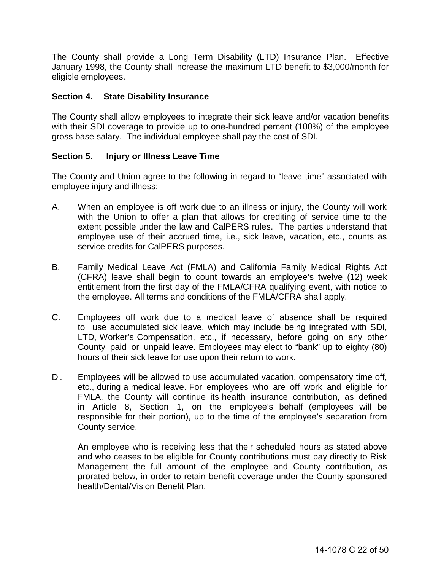The County shall provide a Long Term Disability (LTD) Insurance Plan. Effective January 1998, the County shall increase the maximum LTD benefit to \$3,000/month for eligible employees.

#### <span id="page-21-0"></span>**Section 4. State Disability Insurance**

The County shall allow employees to integrate their sick leave and/or vacation benefits with their SDI coverage to provide up to one-hundred percent (100%) of the employee gross base salary. The individual employee shall pay the cost of SDI.

#### <span id="page-21-1"></span>**Section 5. Injury or Illness Leave Time**

The County and Union agree to the following in regard to "leave time" associated with employee injury and illness:

- A. When an employee is off work due to an illness or injury, the County will work with the Union to offer a plan that allows for crediting of service time to the extent possible under the law and CalPERS rules. The parties understand that employee use of their accrued time, i.e., sick leave, vacation, etc., counts as service credits for CalPERS purposes.
- B. Family Medical Leave Act (FMLA) and California Family Medical Rights Act (CFRA) leave shall begin to count towards an employee's twelve (12) week entitlement from the first day of the FMLA/CFRA qualifying event, with notice to the employee. All terms and conditions of the FMLA/CFRA shall apply.
- C. Employees off work due to a medical leave of absence shall be required to use accumulated sick leave, which may include being integrated with SDI, LTD, Worker's Compensation, etc., if necessary, before going on any other County paid or unpaid leave. Employees may elect to "bank" up to eighty (80) hours of their sick leave for use upon their return to work.
- D. Employees will be allowed to use accumulated vacation, compensatory time off, etc., during a medical leave. For employees who are off work and eligible for FMLA, the County will continue its health insurance contribution, as defined in Article 8, Section 1, on the employee's behalf (employees will be responsible for their portion), up to the time of the employee's separation from County service.

An employee who is receiving less that their scheduled hours as stated above and who ceases to be eligible for County contributions must pay directly to Risk Management the full amount of the employee and County contribution, as prorated below, in order to retain benefit coverage under the County sponsored health/Dental/Vision Benefit Plan.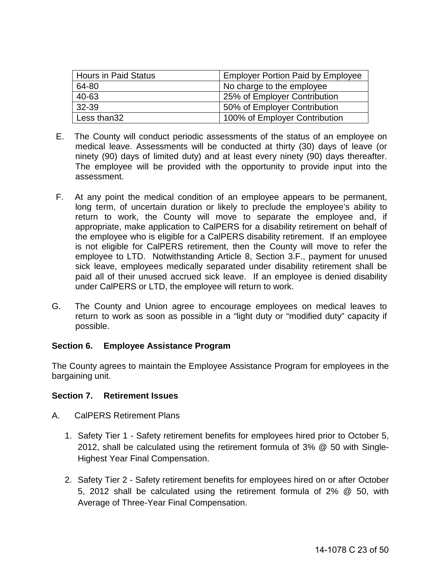| <b>Hours in Paid Status</b> | <b>Employer Portion Paid by Employee</b> |
|-----------------------------|------------------------------------------|
| 64-80                       | No charge to the employee                |
| 40-63                       | 25% of Employer Contribution             |
| 32-39                       | 50% of Employer Contribution             |
| Less than32                 | 100% of Employer Contribution            |

- E. The County will conduct periodic assessments of the status of an employee on medical leave. Assessments will be conducted at thirty (30) days of leave (or ninety (90) days of limited duty) and at least every ninety (90) days thereafter. The employee will be provided with the opportunity to provide input into the assessment.
- F. At any point the medical condition of an employee appears to be permanent, long term, of uncertain duration or likely to preclude the employee's ability to return to work, the County will move to separate the employee and, if appropriate, make application to CalPERS for a disability retirement on behalf of the employee who is eligible for a CalPERS disability retirement. If an employee is not eligible for CalPERS retirement, then the County will move to refer the employee to LTD. Notwithstanding Article 8, Section 3.F., payment for unused sick leave, employees medically separated under disability retirement shall be paid all of their unused accrued sick leave. If an employee is denied disability under CalPERS or LTD, the employee will return to work.
- G. The County and Union agree to encourage employees on medical leaves to return to work as soon as possible in a "light duty or "modified duty" capacity if possible.

#### <span id="page-22-0"></span>**Section 6. Employee Assistance Program**

The County agrees to maintain the Employee Assistance Program for employees in the bargaining unit.

#### <span id="page-22-1"></span>**Section 7. Retirement Issues**

- A. CalPERS Retirement Plans
	- 1. Safety Tier 1 Safety retirement benefits for employees hired prior to October 5, 2012, shall be calculated using the retirement formula of 3% @ 50 with Single-Highest Year Final Compensation.
	- 2. Safety Tier 2 Safety retirement benefits for employees hired on or after October 5, 2012 shall be calculated using the retirement formula of 2% @ 50, with Average of Three-Year Final Compensation.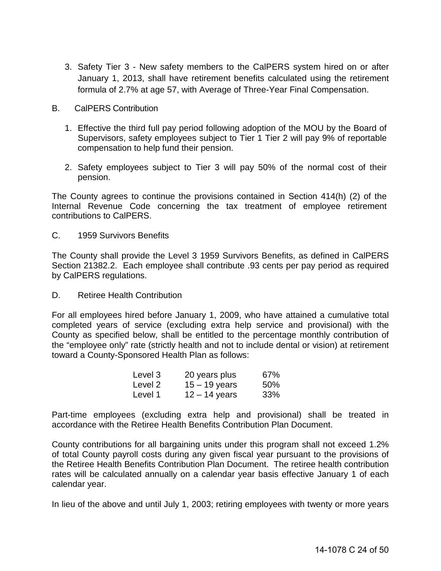- 3. Safety Tier 3 New safety members to the CalPERS system hired on or after January 1, 2013, shall have retirement benefits calculated using the retirement formula of 2.7% at age 57, with Average of Three-Year Final Compensation.
- B. CalPERS Contribution
	- 1. Effective the third full pay period following adoption of the MOU by the Board of Supervisors, safety employees subject to Tier 1 Tier 2 will pay 9% of reportable compensation to help fund their pension.
	- 2. Safety employees subject to Tier 3 will pay 50% of the normal cost of their pension.

The County agrees to continue the provisions contained in Section 414(h) (2) of the Internal Revenue Code concerning the tax treatment of employee retirement contributions to CalPERS.

C. 1959 Survivors Benefits

The County shall provide the Level 3 1959 Survivors Benefits, as defined in CalPERS Section 21382.2. Each employee shall contribute .93 cents per pay period as required by CalPERS regulations.

D. Retiree Health Contribution

For all employees hired before January 1, 2009, who have attained a cumulative total completed years of service (excluding extra help service and provisional) with the County as specified below, shall be entitled to the percentage monthly contribution of the "employee only" rate (strictly health and not to include dental or vision) at retirement toward a County-Sponsored Health Plan as follows:

| Level 3 | 20 years plus   | 67% |
|---------|-----------------|-----|
| Level 2 | $15 - 19$ years | 50% |
| Level 1 | $12 - 14$ years | 33% |

Part-time employees (excluding extra help and provisional) shall be treated in accordance with the Retiree Health Benefits Contribution Plan Document.

County contributions for all bargaining units under this program shall not exceed 1.2% of total County payroll costs during any given fiscal year pursuant to the provisions of the Retiree Health Benefits Contribution Plan Document. The retiree health contribution rates will be calculated annually on a calendar year basis effective January 1 of each calendar year.

In lieu of the above and until July 1, 2003; retiring employees with twenty or more years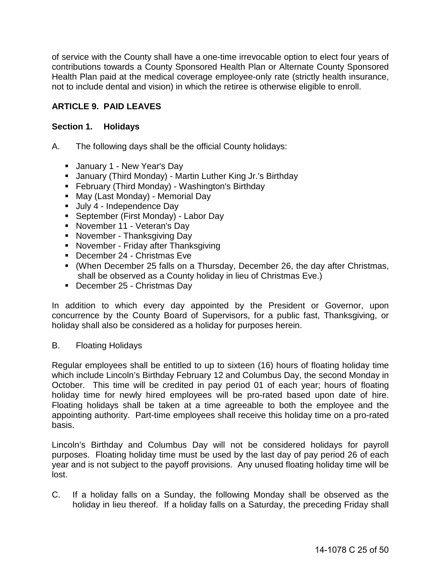of service with the County shall have a one-time irrevocable option to elect four years of contributions towards a County Sponsored Health Plan or Alternate County Sponsored Health Plan paid at the medical coverage employee-only rate (strictly health insurance, not to include dental and vision) in which the retiree is otherwise eligible to enroll.

## <span id="page-24-0"></span>**ARTICLE 9. PAID LEAVES**

#### <span id="page-24-1"></span>**Section 1. Holidays**

- A. The following days shall be the official County holidays:
	- **January 1 New Year's Day**
	- January (Third Monday) Martin Luther King Jr.'s Birthday
	- **February (Third Monday) Washington's Birthday**
	- May (Last Monday) Memorial Day
	- Uuly 4 Independence Day
	- **September (First Monday) Labor Day**
	- **November 11 Veteran's Day**
	- **November Thanksgiving Day**
	- **November Friday after Thanksgiving**
	- December 24 Christmas Eve
	- (When December 25 falls on a Thursday, December 26, the day after Christmas, shall be observed as a County holiday in lieu of Christmas Eve.)
	- December 25 Christmas Day

In addition to which every day appointed by the President or Governor, upon concurrence by the County Board of Supervisors, for a public fast, Thanksgiving, or holiday shall also be considered as a holiday for purposes herein.

#### B. Floating Holidays

Regular employees shall be entitled to up to sixteen (16) hours of floating holiday time which include Lincoln's Birthday February 12 and Columbus Day, the second Monday in October. This time will be credited in pay period 01 of each year; hours of floating holiday time for newly hired employees will be pro-rated based upon date of hire. Floating holidays shall be taken at a time agreeable to both the employee and the appointing authority. Part-time employees shall receive this holiday time on a pro-rated basis.

Lincoln's Birthday and Columbus Day will not be considered holidays for payroll purposes. Floating holiday time must be used by the last day of pay period 26 of each year and is not subject to the payoff provisions. Any unused floating holiday time will be lost.

C. If a holiday falls on a Sunday, the following Monday shall be observed as the holiday in lieu thereof. If a holiday falls on a Saturday, the preceding Friday shall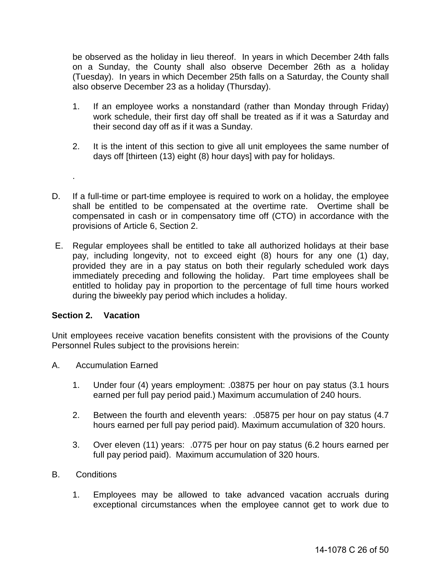be observed as the holiday in lieu thereof. In years in which December 24th falls on a Sunday, the County shall also observe December 26th as a holiday (Tuesday). In years in which December 25th falls on a Saturday, the County shall also observe December 23 as a holiday (Thursday).

- 1. If an employee works a nonstandard (rather than Monday through Friday) work schedule, their first day off shall be treated as if it was a Saturday and their second day off as if it was a Sunday.
- 2. It is the intent of this section to give all unit employees the same number of days off [thirteen (13) eight (8) hour days] with pay for holidays.
- D. If a full-time or part-time employee is required to work on a holiday, the employee shall be entitled to be compensated at the overtime rate. Overtime shall be compensated in cash or in compensatory time off (CTO) in accordance with the provisions of Article 6, Section 2.
- E. Regular employees shall be entitled to take all authorized holidays at their base pay, including longevity, not to exceed eight (8) hours for any one (1) day, provided they are in a pay status on both their regularly scheduled work days immediately preceding and following the holiday. Part time employees shall be entitled to holiday pay in proportion to the percentage of full time hours worked during the biweekly pay period which includes a holiday.

#### <span id="page-25-0"></span>**Section 2. Vacation**

.

Unit employees receive vacation benefits consistent with the provisions of the County Personnel Rules subject to the provisions herein:

- A. Accumulation Earned
	- 1. Under four (4) years employment: .03875 per hour on pay status (3.1 hours earned per full pay period paid.) Maximum accumulation of 240 hours.
	- 2. Between the fourth and eleventh years: .05875 per hour on pay status (4.7 hours earned per full pay period paid). Maximum accumulation of 320 hours.
	- 3. Over eleven (11) years: .0775 per hour on pay status (6.2 hours earned per full pay period paid). Maximum accumulation of 320 hours.
- B. Conditions
	- 1. Employees may be allowed to take advanced vacation accruals during exceptional circumstances when the employee cannot get to work due to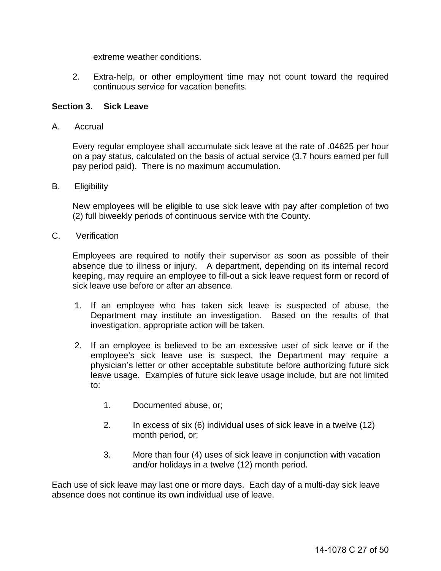extreme weather conditions.

2. Extra-help, or other employment time may not count toward the required continuous service for vacation benefits.

#### <span id="page-26-0"></span>**Section 3. Sick Leave**

A. Accrual

Every regular employee shall accumulate sick leave at the rate of .04625 per hour on a pay status, calculated on the basis of actual service (3.7 hours earned per full pay period paid). There is no maximum accumulation.

B. Eligibility

New employees will be eligible to use sick leave with pay after completion of two (2) full biweekly periods of continuous service with the County.

C. Verification

Employees are required to notify their supervisor as soon as possible of their absence due to illness or injury. A department, depending on its internal record keeping, may require an employee to fill-out a sick leave request form or record of sick leave use before or after an absence.

- 1. If an employee who has taken sick leave is suspected of abuse, the Department may institute an investigation. Based on the results of that investigation, appropriate action will be taken.
- 2. If an employee is believed to be an excessive user of sick leave or if the employee's sick leave use is suspect, the Department may require a physician's letter or other acceptable substitute before authorizing future sick leave usage. Examples of future sick leave usage include, but are not limited to:
	- 1. Documented abuse, or;
	- 2. In excess of six (6) individual uses of sick leave in a twelve (12) month period, or;
	- 3. More than four (4) uses of sick leave in conjunction with vacation and/or holidays in a twelve (12) month period.

Each use of sick leave may last one or more days. Each day of a multi-day sick leave absence does not continue its own individual use of leave.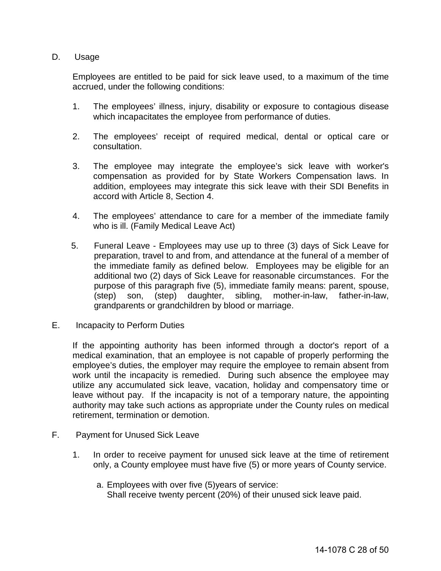#### D. Usage

Employees are entitled to be paid for sick leave used, to a maximum of the time accrued, under the following conditions:

- 1. The employees' illness, injury, disability or exposure to contagious disease which incapacitates the employee from performance of duties.
- 2. The employees' receipt of required medical, dental or optical care or consultation.
- 3. The employee may integrate the employee's sick leave with worker's compensation as provided for by State Workers Compensation laws. In addition, employees may integrate this sick leave with their SDI Benefits in accord with Article 8, Section 4.
- 4. The employees' attendance to care for a member of the immediate family who is ill. (Family Medical Leave Act)
- 5. Funeral Leave Employees may use up to three (3) days of Sick Leave for preparation, travel to and from, and attendance at the funeral of a member of the immediate family as defined below. Employees may be eligible for an additional two (2) days of Sick Leave for reasonable circumstances. For the purpose of this paragraph five (5), immediate family means: parent, spouse, (step) son, (step) daughter, sibling, mother-in-law, father-in-law, grandparents or grandchildren by blood or marriage.
- E. Incapacity to Perform Duties

If the appointing authority has been informed through a doctor's report of a medical examination, that an employee is not capable of properly performing the employee's duties, the employer may require the employee to remain absent from work until the incapacity is remedied. During such absence the employee may utilize any accumulated sick leave, vacation, holiday and compensatory time or leave without pay. If the incapacity is not of a temporary nature, the appointing authority may take such actions as appropriate under the County rules on medical retirement, termination or demotion.

- F. Payment for Unused Sick Leave
	- 1. In order to receive payment for unused sick leave at the time of retirement only, a County employee must have five (5) or more years of County service.
		- a. Employees with over five (5)years of service: Shall receive twenty percent (20%) of their unused sick leave paid.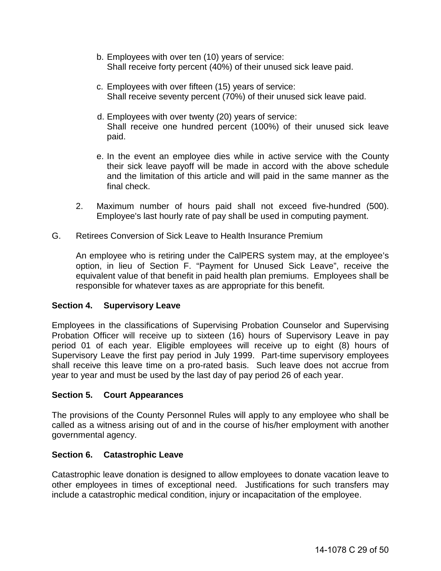- b. Employees with over ten (10) years of service: Shall receive forty percent (40%) of their unused sick leave paid.
- c. Employees with over fifteen (15) years of service: Shall receive seventy percent (70%) of their unused sick leave paid.
- d. Employees with over twenty (20) years of service: Shall receive one hundred percent (100%) of their unused sick leave paid.
- e. In the event an employee dies while in active service with the County their sick leave payoff will be made in accord with the above schedule and the limitation of this article and will paid in the same manner as the final check.
- 2. Maximum number of hours paid shall not exceed five-hundred (500). Employee's last hourly rate of pay shall be used in computing payment.
- G. Retirees Conversion of Sick Leave to Health Insurance Premium

An employee who is retiring under the CalPERS system may, at the employee's option, in lieu of Section F. "Payment for Unused Sick Leave", receive the equivalent value of that benefit in paid health plan premiums. Employees shall be responsible for whatever taxes as are appropriate for this benefit.

#### <span id="page-28-0"></span>**Section 4. Supervisory Leave**

Employees in the classifications of Supervising Probation Counselor and Supervising Probation Officer will receive up to sixteen (16) hours of Supervisory Leave in pay period 01 of each year. Eligible employees will receive up to eight (8) hours of Supervisory Leave the first pay period in July 1999. Part-time supervisory employees shall receive this leave time on a pro-rated basis. Such leave does not accrue from year to year and must be used by the last day of pay period 26 of each year.

#### <span id="page-28-1"></span>**Section 5. Court Appearances**

The provisions of the County Personnel Rules will apply to any employee who shall be called as a witness arising out of and in the course of his/her employment with another governmental agency.

#### <span id="page-28-2"></span>**Section 6. Catastrophic Leave**

Catastrophic leave donation is designed to allow employees to donate vacation leave to other employees in times of exceptional need. Justifications for such transfers may include a catastrophic medical condition, injury or incapacitation of the employee.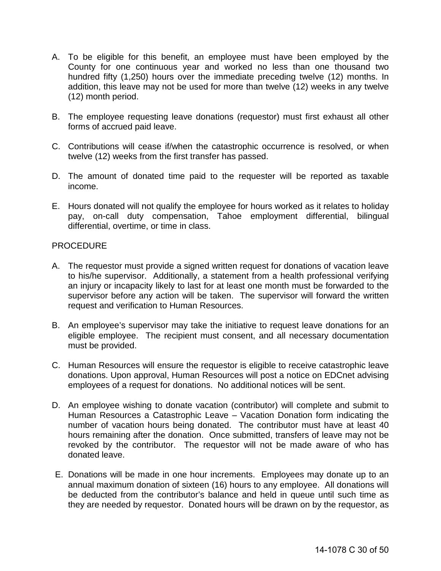- A. To be eligible for this benefit, an employee must have been employed by the County for one continuous year and worked no less than one thousand two hundred fifty (1,250) hours over the immediate preceding twelve (12) months. In addition, this leave may not be used for more than twelve (12) weeks in any twelve (12) month period.
- B. The employee requesting leave donations (requestor) must first exhaust all other forms of accrued paid leave.
- C. Contributions will cease if/when the catastrophic occurrence is resolved, or when twelve (12) weeks from the first transfer has passed.
- D. The amount of donated time paid to the requester will be reported as taxable income.
- E. Hours donated will not qualify the employee for hours worked as it relates to holiday pay, on-call duty compensation, Tahoe employment differential, bilingual differential, overtime, or time in class.

#### **PROCEDURE**

- A. The requestor must provide a signed written request for donations of vacation leave to his/he supervisor. Additionally, a statement from a health professional verifying an injury or incapacity likely to last for at least one month must be forwarded to the supervisor before any action will be taken. The supervisor will forward the written request and verification to Human Resources.
- B. An employee's supervisor may take the initiative to request leave donations for an eligible employee. The recipient must consent, and all necessary documentation must be provided.
- C. Human Resources will ensure the requestor is eligible to receive catastrophic leave donations. Upon approval, Human Resources will post a notice on EDCnet advising employees of a request for donations. No additional notices will be sent.
- D. An employee wishing to donate vacation (contributor) will complete and submit to Human Resources a Catastrophic Leave - Vacation Donation form indicating the number of vacation hours being donated. The contributor must have at least 40 hours remaining after the donation. Once submitted, transfers of leave may not be revoked by the contributor. The requestor will not be made aware of who has donated leave.
- E. Donations will be made in one hour increments. Employees may donate up to an annual maximum donation of sixteen (16) hours to any employee. All donations will be deducted from the contributor's balance and held in queue until such time as they are needed by requestor. Donated hours will be drawn on by the requestor, as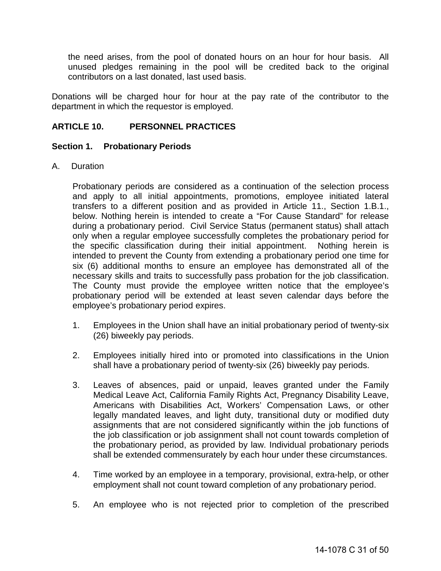the need arises, from the pool of donated hours on an hour for hour basis. All unused pledges remaining in the pool will be credited back to the original contributors on a last donated, last used basis.

Donations will be charged hour for hour at the pay rate of the contributor to the department in which the requestor is employed.

#### <span id="page-30-0"></span>**ARTICLE 10. PERSONNEL PRACTICES**

#### <span id="page-30-1"></span>**Section 1. Probationary Periods**

A. Duration

Probationary periods are considered as a continuation of the selection process and apply to all initial appointments, promotions, employee initiated lateral transfers to a different position and as provided in Article 11., Section 1.B.1., below. Nothing herein is intended to create a "For Cause Standard" for release during a probationary period. Civil Service Status (permanent status) shall attach only when a regular employee successfully completes the probationary period for the specific classification during their initial appointment. Nothing herein is intended to prevent the County from extending a probationary period one time for six (6) additional months to ensure an employee has demonstrated all of the necessary skills and traits to successfully pass probation for the job classification. The County must provide the employee written notice that the employee's probationary period will be extended at least seven calendar days before the employee's probationary period expires.

- 1. Employees in the Union shall have an initial probationary period of twenty-six (26) biweekly pay periods.
- 2. Employees initially hired into or promoted into classifications in the Union shall have a probationary period of twenty-six (26) biweekly pay periods.
- 3. Leaves of absences, paid or unpaid, leaves granted under the Family Medical Leave Act, California Family Rights Act, Pregnancy Disability Leave, Americans with Disabilities Act, Workers' Compensation Laws, or other legally mandated leaves, and light duty, transitional duty or modified duty assignments that are not considered significantly within the job functions of the job classification or job assignment shall not count towards completion of the probationary period, as provided by law. Individual probationary periods shall be extended commensurately by each hour under these circumstances.
- 4. Time worked by an employee in a temporary, provisional, extra-help, or other employment shall not count toward completion of any probationary period.
- 5. An employee who is not rejected prior to completion of the prescribed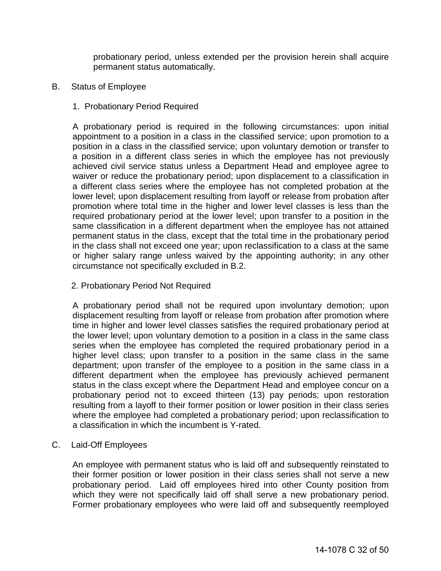probationary period, unless extended per the provision herein shall acquire permanent status automatically.

- B. Status of Employee
	- 1. Probationary Period Required

 A probationary period is required in the following circumstances: upon initial appointment to a position in a class in the classified service; upon promotion to a position in a class in the classified service; upon voluntary demotion or transfer to a position in a different class series in which the employee has not previously achieved civil service status unless a Department Head and employee agree to waiver or reduce the probationary period; upon displacement to a classification in a different class series where the employee has not completed probation at the lower level; upon displacement resulting from layoff or release from probation after promotion where total time in the higher and lower level classes is less than the required probationary period at the lower level; upon transfer to a position in the same classification in a different department when the employee has not attained permanent status in the class, except that the total time in the probationary period in the class shall not exceed one year; upon reclassification to a class at the same or higher salary range unless waived by the appointing authority; in any other circumstance not specifically excluded in B.2.

2. Probationary Period Not Required

 A probationary period shall not be required upon involuntary demotion; upon displacement resulting from layoff or release from probation after promotion where time in higher and lower level classes satisfies the required probationary period at the lower level; upon voluntary demotion to a position in a class in the same class series when the employee has completed the required probationary period in a higher level class; upon transfer to a position in the same class in the same department; upon transfer of the employee to a position in the same class in a different department when the employee has previously achieved permanent status in the class except where the Department Head and employee concur on a probationary period not to exceed thirteen (13) pay periods; upon restoration resulting from a layoff to their former position or lower position in their class series where the employee had completed a probationary period; upon reclassification to a classification in which the incumbent is Y-rated.

C. Laid-Off Employees

An employee with permanent status who is laid off and subsequently reinstated to their former position or lower position in their class series shall not serve a new probationary period. Laid off employees hired into other County position from which they were not specifically laid off shall serve a new probationary period. Former probationary employees who were laid off and subsequently reemployed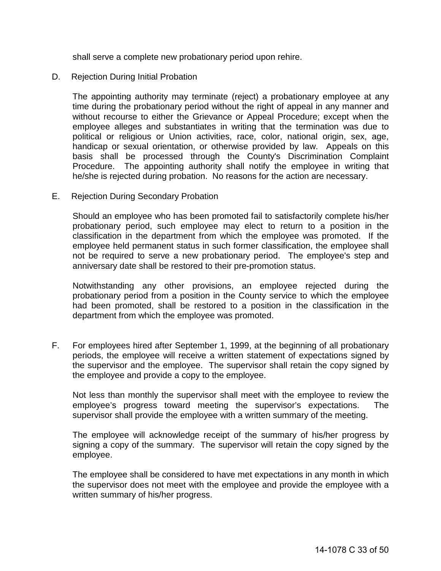shall serve a complete new probationary period upon rehire.

D. Rejection During Initial Probation

The appointing authority may terminate (reject) a probationary employee at any time during the probationary period without the right of appeal in any manner and without recourse to either the Grievance or Appeal Procedure; except when the employee alleges and substantiates in writing that the termination was due to political or religious or Union activities, race, color, national origin, sex, age, handicap or sexual orientation, or otherwise provided by law. Appeals on this basis shall be processed through the County's Discrimination Complaint Procedure. The appointing authority shall notify the employee in writing that he/she is rejected during probation. No reasons for the action are necessary.

E. Rejection During Secondary Probation

Should an employee who has been promoted fail to satisfactorily complete his/her probationary period, such employee may elect to return to a position in the classification in the department from which the employee was promoted. If the employee held permanent status in such former classification, the employee shall not be required to serve a new probationary period. The employee's step and anniversary date shall be restored to their pre-promotion status.

Notwithstanding any other provisions, an employee rejected during the probationary period from a position in the County service to which the employee had been promoted, shall be restored to a position in the classification in the department from which the employee was promoted.

F. For employees hired after September 1, 1999, at the beginning of all probationary periods, the employee will receive a written statement of expectations signed by the supervisor and the employee. The supervisor shall retain the copy signed by the employee and provide a copy to the employee.

Not less than monthly the supervisor shall meet with the employee to review the employee's progress toward meeting the supervisor's expectations. The supervisor shall provide the employee with a written summary of the meeting.

The employee will acknowledge receipt of the summary of his/her progress by signing a copy of the summary. The supervisor will retain the copy signed by the employee.

The employee shall be considered to have met expectations in any month in which the supervisor does not meet with the employee and provide the employee with a written summary of his/her progress.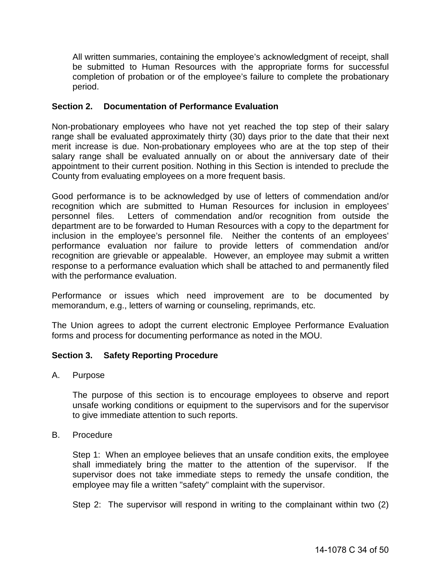All written summaries, containing the employee's acknowledgment of receipt, shall be submitted to Human Resources with the appropriate forms for successful completion of probation or of the employee's failure to complete the probationary period.

## <span id="page-33-0"></span>**Section 2. Documentation of Performance Evaluation**

Non-probationary employees who have not yet reached the top step of their salary range shall be evaluated approximately thirty (30) days prior to the date that their next merit increase is due. Non-probationary employees who are at the top step of their salary range shall be evaluated annually on or about the anniversary date of their appointment to their current position. Nothing in this Section is intended to preclude the County from evaluating employees on a more frequent basis.

Good performance is to be acknowledged by use of letters of commendation and/or recognition which are submitted to Human Resources for inclusion in employees' personnel files. Letters of commendation and/or recognition from outside the department are to be forwarded to Human Resources with a copy to the department for inclusion in the employee's personnel file. Neither the contents of an employees' performance evaluation nor failure to provide letters of commendation and/or recognition are grievable or appealable. However, an employee may submit a written response to a performance evaluation which shall be attached to and permanently filed with the performance evaluation.

Performance or issues which need improvement are to be documented by memorandum, e.g., letters of warning or counseling, reprimands, etc.

The Union agrees to adopt the current electronic Employee Performance Evaluation forms and process for documenting performance as noted in the MOU.

#### <span id="page-33-1"></span>**Section 3. Safety Reporting Procedure**

A. Purpose

The purpose of this section is to encourage employees to observe and report unsafe working conditions or equipment to the supervisors and for the supervisor to give immediate attention to such reports.

#### B. Procedure

Step 1: When an employee believes that an unsafe condition exits, the employee shall immediately bring the matter to the attention of the supervisor. If the supervisor does not take immediate steps to remedy the unsafe condition, the employee may file a written "safety" complaint with the supervisor.

Step 2: The supervisor will respond in writing to the complainant within two (2)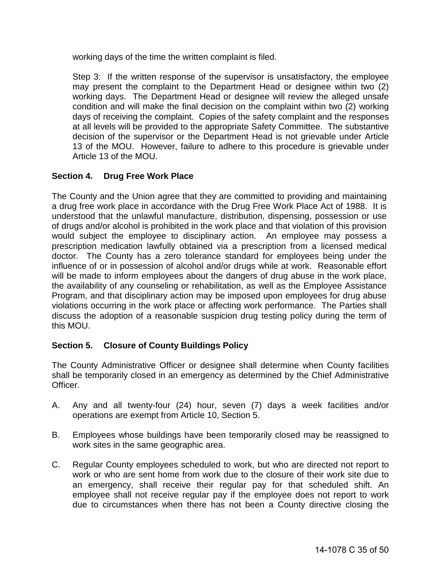working days of the time the written complaint is filed.

Step 3: If the written response of the supervisor is unsatisfactory, the employee may present the complaint to the Department Head or designee within two (2) working days. The Department Head or designee will review the alleged unsafe condition and will make the final decision on the complaint within two (2) working days of receiving the complaint. Copies of the safety complaint and the responses at all levels will be provided to the appropriate Safety Committee. The substantive decision of the supervisor or the Department Head is not grievable under Article 13 of the MOU. However, failure to adhere to this procedure is grievable under Article 13 of the MOU.

## <span id="page-34-0"></span>**Section 4. Drug Free Work Place**

The County and the Union agree that they are committed to providing and maintaining a drug free work place in accordance with the Drug Free Work Place Act of 1988. It is understood that the unlawful manufacture, distribution, dispensing, possession or use of drugs and/or alcohol is prohibited in the work place and that violation of this provision would subject the employee to disciplinary action. An employee may possess a prescription medication lawfully obtained via a prescription from a licensed medical doctor. The County has a zero tolerance standard for employees being under the influence of or in possession of alcohol and/or drugs while at work. Reasonable effort will be made to inform employees about the dangers of drug abuse in the work place, the availability of any counseling or rehabilitation, as well as the Employee Assistance Program, and that disciplinary action may be imposed upon employees for drug abuse violations occurring in the work place or affecting work performance. The Parties shall discuss the adoption of a reasonable suspicion drug testing policy during the term of this MOU.

## <span id="page-34-1"></span>**Section 5. Closure of County Buildings Policy**

The County Administrative Officer or designee shall determine when County facilities shall be temporarily closed in an emergency as determined by the Chief Administrative Officer.

- A. Any and all twenty-four (24) hour, seven (7) days a week facilities and/or operations are exempt from Article 10, Section 5.
- B. Employees whose buildings have been temporarily closed may be reassigned to work sites in the same geographic area.
- C. Regular County employees scheduled to work, but who are directed not report to work or who are sent home from work due to the closure of their work site due to an emergency, shall receive their regular pay for that scheduled shift. An employee shall not receive regular pay if the employee does not report to work due to circumstances when there has not been a County directive closing the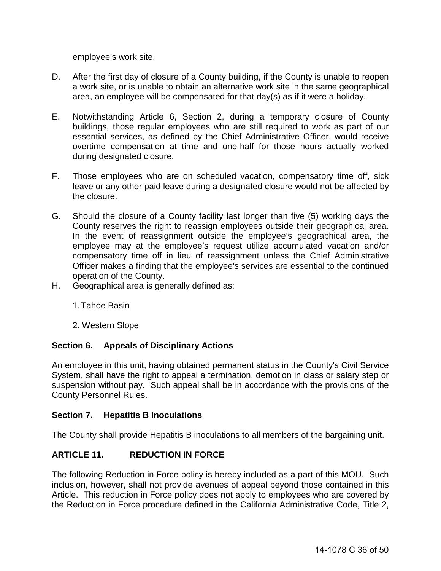employee's work site.

- D. After the first day of closure of a County building, if the County is unable to reopen a work site, or is unable to obtain an alternative work site in the same geographical area, an employee will be compensated for that day(s) as if it were a holiday.
- E. Notwithstanding Article 6, Section 2, during a temporary closure of County buildings, those regular employees who are still required to work as part of our essential services, as defined by the Chief Administrative Officer, would receive overtime compensation at time and one-half for those hours actually worked during designated closure.
- F. Those employees who are on scheduled vacation, compensatory time off, sick leave or any other paid leave during a designated closure would not be affected by the closure.
- G. Should the closure of a County facility last longer than five (5) working days the County reserves the right to reassign employees outside their geographical area. In the event of reassignment outside the employee's geographical area, the employee may at the employee's request utilize accumulated vacation and/or compensatory time off in lieu of reassignment unless the Chief Administrative Officer makes a finding that the employee's services are essential to the continued operation of the County.
- H. Geographical area is generally defined as:
	- 1.Tahoe Basin
	- 2. Western Slope

#### <span id="page-35-0"></span>**Section 6. Appeals of Disciplinary Actions**

An employee in this unit, having obtained permanent status in the County's Civil Service System, shall have the right to appeal a termination, demotion in class or salary step or suspension without pay. Such appeal shall be in accordance with the provisions of the County Personnel Rules.

#### <span id="page-35-1"></span>**Section 7. Hepatitis B Inoculations**

The County shall provide Hepatitis B inoculations to all members of the bargaining unit.

## <span id="page-35-2"></span>**ARTICLE 11. REDUCTION IN FORCE**

The following Reduction in Force policy is hereby included as a part of this MOU. Such inclusion, however, shall not provide avenues of appeal beyond those contained in this Article. This reduction in Force policy does not apply to employees who are covered by the Reduction in Force procedure defined in the California Administrative Code, Title 2,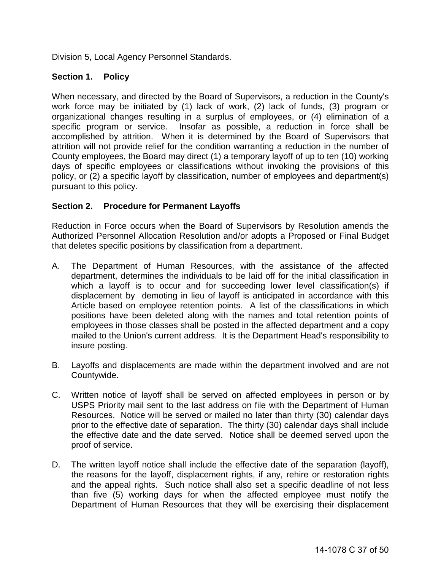Division 5, Local Agency Personnel Standards.

## <span id="page-36-0"></span>**Section 1. Policy**

When necessary, and directed by the Board of Supervisors, a reduction in the County's work force may be initiated by (1) lack of work, (2) lack of funds, (3) program or organizational changes resulting in a surplus of employees, or (4) elimination of a specific program or service. Insofar as possible, a reduction in force shall be accomplished by attrition. When it is determined by the Board of Supervisors that attrition will not provide relief for the condition warranting a reduction in the number of County employees, the Board may direct (1) a temporary layoff of up to ten (10) working days of specific employees or classifications without invoking the provisions of this policy, or (2) a specific layoff by classification, number of employees and department(s) pursuant to this policy.

## <span id="page-36-1"></span>**Section 2. Procedure for Permanent Layoffs**

Reduction in Force occurs when the Board of Supervisors by Resolution amends the Authorized Personnel Allocation Resolution and/or adopts a Proposed or Final Budget that deletes specific positions by classification from a department.

- A. The Department of Human Resources, with the assistance of the affected department, determines the individuals to be laid off for the initial classification in which a layoff is to occur and for succeeding lower level classification(s) if displacement by demoting in lieu of layoff is anticipated in accordance with this Article based on employee retention points. A list of the classifications in which positions have been deleted along with the names and total retention points of employees in those classes shall be posted in the affected department and a copy mailed to the Union's current address. It is the Department Head's responsibility to insure posting.
- B. Layoffs and displacements are made within the department involved and are not Countywide.
- C. Written notice of layoff shall be served on affected employees in person or by USPS Priority mail sent to the last address on file with the Department of Human Resources. Notice will be served or mailed no later than thirty (30) calendar days prior to the effective date of separation. The thirty (30) calendar days shall include the effective date and the date served. Notice shall be deemed served upon the proof of service.
- D. The written layoff notice shall include the effective date of the separation (layoff), the reasons for the layoff, displacement rights, if any, rehire or restoration rights and the appeal rights. Such notice shall also set a specific deadline of not less than five (5) working days for when the affected employee must notify the Department of Human Resources that they will be exercising their displacement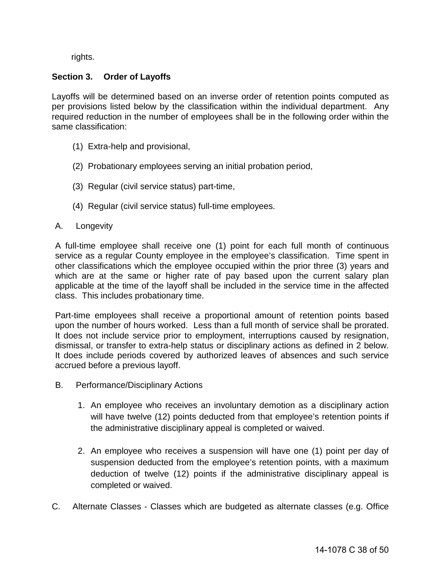rights.

## <span id="page-37-0"></span>**Section 3. Order of Layoffs**

Layoffs will be determined based on an inverse order of retention points computed as per provisions listed below by the classification within the individual department. Any required reduction in the number of employees shall be in the following order within the same classification:

- (1) Extra-help and provisional,
- (2) Probationary employees serving an initial probation period,
- (3) Regular (civil service status) part-time,
- (4) Regular (civil service status) full-time employees.
- A. Longevity

A full-time employee shall receive one (1) point for each full month of continuous service as a regular County employee in the employee's classification. Time spent in other classifications which the employee occupied within the prior three (3) years and which are at the same or higher rate of pay based upon the current salary plan applicable at the time of the layoff shall be included in the service time in the affected class. This includes probationary time.

Part-time employees shall receive a proportional amount of retention points based upon the number of hours worked. Less than a full month of service shall be prorated. It does not include service prior to employment, interruptions caused by resignation, dismissal, or transfer to extra-help status or disciplinary actions as defined in 2 below. It does include periods covered by authorized leaves of absences and such service accrued before a previous layoff.

- B. Performance/Disciplinary Actions
	- 1. An employee who receives an involuntary demotion as a disciplinary action will have twelve (12) points deducted from that employee's retention points if the administrative disciplinary appeal is completed or waived.
	- 2. An employee who receives a suspension will have one (1) point per day of suspension deducted from the employee's retention points, with a maximum deduction of twelve (12) points if the administrative disciplinary appeal is completed or waived.
- C. Alternate Classes Classes which are budgeted as alternate classes (e.g. Office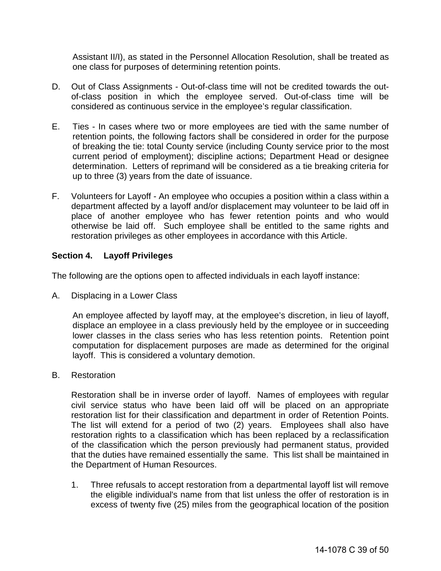Assistant II/I), as stated in the Personnel Allocation Resolution, shall be treated as one class for purposes of determining retention points.

- D. Out of Class Assignments Out-of-class time will not be credited towards the outof-class position in which the employee served. Out-of-class time will be considered as continuous service in the employee's regular classification.
- E. Ties In cases where two or more employees are tied with the same number of retention points, the following factors shall be considered in order for the purpose of breaking the tie: total County service (including County service prior to the most current period of employment); discipline actions; Department Head or designee determination. Letters of reprimand will be considered as a tie breaking criteria for up to three (3) years from the date of issuance.
- F. Volunteers for Layoff An employee who occupies a position within a class within a department affected by a layoff and/or displacement may volunteer to be laid off in place of another employee who has fewer retention points and who would otherwise be laid off. Such employee shall be entitled to the same rights and restoration privileges as other employees in accordance with this Article.

#### <span id="page-38-0"></span>**Section 4. Layoff Privileges**

The following are the options open to affected individuals in each layoff instance:

A. Displacing in a Lower Class

An employee affected by layoff may, at the employee's discretion, in lieu of layoff, displace an employee in a class previously held by the employee or in succeeding lower classes in the class series who has less retention points. Retention point computation for displacement purposes are made as determined for the original layoff. This is considered a voluntary demotion.

B. Restoration

 Restoration shall be in inverse order of layoff. Names of employees with regular civil service status who have been laid off will be placed on an appropriate restoration list for their classification and department in order of Retention Points. The list will extend for a period of two (2) years. Employees shall also have restoration rights to a classification which has been replaced by a reclassification of the classification which the person previously had permanent status, provided that the duties have remained essentially the same. This list shall be maintained in the Department of Human Resources.

1. Three refusals to accept restoration from a departmental layoff list will remove the eligible individual's name from that list unless the offer of restoration is in excess of twenty five (25) miles from the geographical location of the position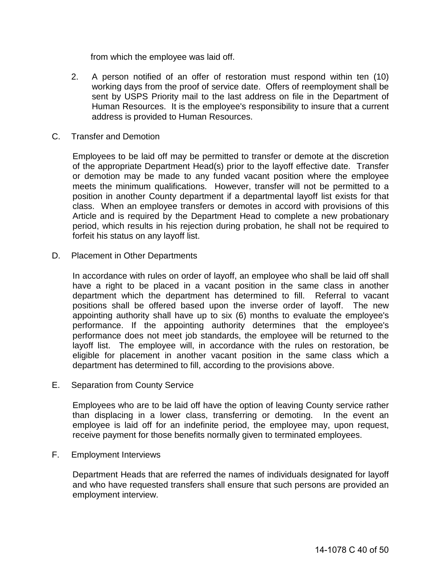from which the employee was laid off.

- 2. A person notified of an offer of restoration must respond within ten (10) working days from the proof of service date. Offers of reemployment shall be sent by USPS Priority mail to the last address on file in the Department of Human Resources. It is the employee's responsibility to insure that a current address is provided to Human Resources.
- C. Transfer and Demotion

Employees to be laid off may be permitted to transfer or demote at the discretion of the appropriate Department Head(s) prior to the layoff effective date. Transfer or demotion may be made to any funded vacant position where the employee meets the minimum qualifications. However, transfer will not be permitted to a position in another County department if a departmental layoff list exists for that class. When an employee transfers or demotes in accord with provisions of this Article and is required by the Department Head to complete a new probationary period, which results in his rejection during probation, he shall not be required to forfeit his status on any layoff list.

D. Placement in Other Departments

In accordance with rules on order of layoff, an employee who shall be laid off shall have a right to be placed in a vacant position in the same class in another department which the department has determined to fill. Referral to vacant positions shall be offered based upon the inverse order of layoff. The new appointing authority shall have up to six (6) months to evaluate the employee's performance. If the appointing authority determines that the employee's performance does not meet job standards, the employee will be returned to the layoff list. The employee will, in accordance with the rules on restoration, be eligible for placement in another vacant position in the same class which a department has determined to fill, according to the provisions above.

E. Separation from County Service

Employees who are to be laid off have the option of leaving County service rather than displacing in a lower class, transferring or demoting. In the event an employee is laid off for an indefinite period, the employee may, upon request, receive payment for those benefits normally given to terminated employees.

F. Employment Interviews

Department Heads that are referred the names of individuals designated for layoff and who have requested transfers shall ensure that such persons are provided an employment interview.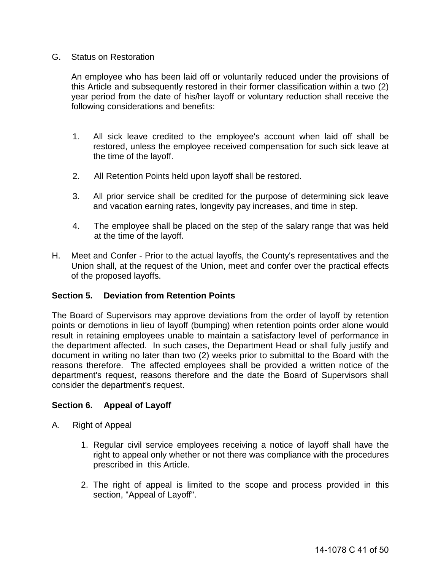#### G. Status on Restoration

 An employee who has been laid off or voluntarily reduced under the provisions of this Article and subsequently restored in their former classification within a two (2) year period from the date of his/her layoff or voluntary reduction shall receive the following considerations and benefits:

- 1. All sick leave credited to the employee's account when laid off shall be restored, unless the employee received compensation for such sick leave at the time of the layoff.
- 2. All Retention Points held upon layoff shall be restored.
- 3. All prior service shall be credited for the purpose of determining sick leave and vacation earning rates, longevity pay increases, and time in step.
- 4. The employee shall be placed on the step of the salary range that was held at the time of the layoff.
- H. Meet and Confer Prior to the actual layoffs, the County's representatives and the Union shall, at the request of the Union, meet and confer over the practical effects of the proposed layoffs.

#### <span id="page-40-0"></span>**Section 5. Deviation from Retention Points**

The Board of Supervisors may approve deviations from the order of layoff by retention points or demotions in lieu of layoff (bumping) when retention points order alone would result in retaining employees unable to maintain a satisfactory level of performance in the department affected. In such cases, the Department Head or shall fully justify and document in writing no later than two (2) weeks prior to submittal to the Board with the reasons therefore. The affected employees shall be provided a written notice of the department's request, reasons therefore and the date the Board of Supervisors shall consider the department's request.

#### <span id="page-40-1"></span>**Section 6. Appeal of Layoff**

- A. Right of Appeal
	- 1. Regular civil service employees receiving a notice of layoff shall have the right to appeal only whether or not there was compliance with the procedures prescribed in this Article.
	- 2. The right of appeal is limited to the scope and process provided in this section, "Appeal of Layoff".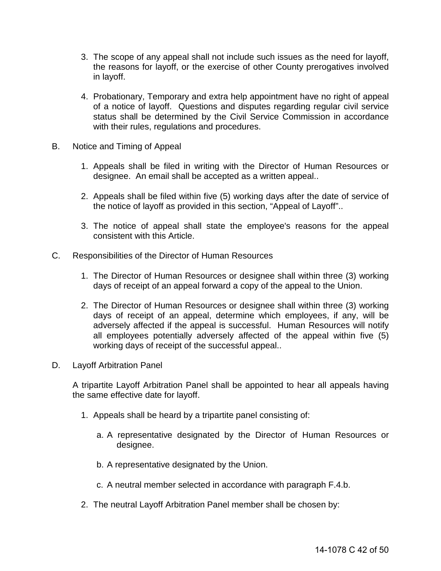- 3. The scope of any appeal shall not include such issues as the need for layoff, the reasons for layoff, or the exercise of other County prerogatives involved in layoff.
- 4. Probationary, Temporary and extra help appointment have no right of appeal of a notice of layoff. Questions and disputes regarding regular civil service status shall be determined by the Civil Service Commission in accordance with their rules, regulations and procedures.
- B. Notice and Timing of Appeal
	- 1. Appeals shall be filed in writing with the Director of Human Resources or designee. An email shall be accepted as a written appeal..
	- 2. Appeals shall be filed within five (5) working days after the date of service of the notice of layoff as provided in this section, "Appeal of Layoff"..
	- 3. The notice of appeal shall state the employee's reasons for the appeal consistent with this Article.
- C. Responsibilities of the Director of Human Resources
	- 1. The Director of Human Resources or designee shall within three (3) working days of receipt of an appeal forward a copy of the appeal to the Union.
	- 2. The Director of Human Resources or designee shall within three (3) working days of receipt of an appeal, determine which employees, if any, will be adversely affected if the appeal is successful. Human Resources will notify all employees potentially adversely affected of the appeal within five (5) working days of receipt of the successful appeal..
- D. Layoff Arbitration Panel

A tripartite Layoff Arbitration Panel shall be appointed to hear all appeals having the same effective date for layoff.

- 1. Appeals shall be heard by a tripartite panel consisting of:
	- a. A representative designated by the Director of Human Resources or designee.
	- b. A representative designated by the Union.
	- c. A neutral member selected in accordance with paragraph F.4.b.
- 2. The neutral Layoff Arbitration Panel member shall be chosen by: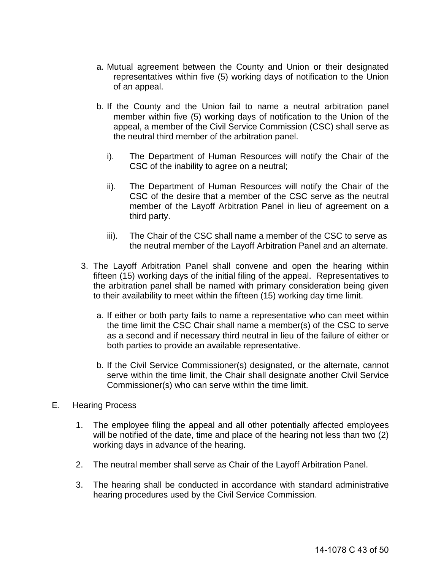- a. Mutual agreement between the County and Union or their designated representatives within five (5) working days of notification to the Union of an appeal.
- b. If the County and the Union fail to name a neutral arbitration panel member within five (5) working days of notification to the Union of the appeal, a member of the Civil Service Commission (CSC) shall serve as the neutral third member of the arbitration panel.
	- i). The Department of Human Resources will notify the Chair of the CSC of the inability to agree on a neutral;
	- ii). The Department of Human Resources will notify the Chair of the CSC of the desire that a member of the CSC serve as the neutral member of the Layoff Arbitration Panel in lieu of agreement on a third party.
	- iii). The Chair of the CSC shall name a member of the CSC to serve as the neutral member of the Layoff Arbitration Panel and an alternate.
- 3. The Layoff Arbitration Panel shall convene and open the hearing within fifteen (15) working days of the initial filing of the appeal. Representatives to the arbitration panel shall be named with primary consideration being given to their availability to meet within the fifteen (15) working day time limit.
	- a. If either or both party fails to name a representative who can meet within the time limit the CSC Chair shall name a member(s) of the CSC to serve as a second and if necessary third neutral in lieu of the failure of either or both parties to provide an available representative.
	- b. If the Civil Service Commissioner(s) designated, or the alternate, cannot serve within the time limit, the Chair shall designate another Civil Service Commissioner(s) who can serve within the time limit.
- E. Hearing Process
	- 1. The employee filing the appeal and all other potentially affected employees will be notified of the date, time and place of the hearing not less than two (2) working days in advance of the hearing.
	- 2. The neutral member shall serve as Chair of the Layoff Arbitration Panel.
	- 3. The hearing shall be conducted in accordance with standard administrative hearing procedures used by the Civil Service Commission.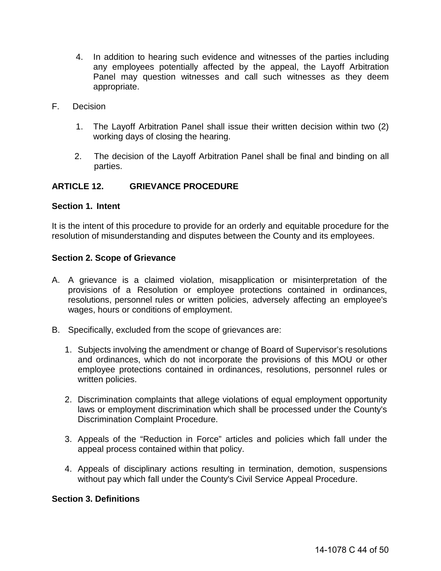- 4. In addition to hearing such evidence and witnesses of the parties including any employees potentially affected by the appeal, the Layoff Arbitration Panel may question witnesses and call such witnesses as they deem appropriate.
- F. Decision
	- 1. The Layoff Arbitration Panel shall issue their written decision within two (2) working days of closing the hearing.
	- 2. The decision of the Layoff Arbitration Panel shall be final and binding on all parties.

#### <span id="page-43-0"></span>**ARTICLE 12. GRIEVANCE PROCEDURE**

#### **Section 1. Intent**

It is the intent of this procedure to provide for an orderly and equitable procedure for the resolution of misunderstanding and disputes between the County and its employees.

#### **Section 2. Scope of Grievance**

- A. A grievance is a claimed violation, misapplication or misinterpretation of the provisions of a Resolution or employee protections contained in ordinances, resolutions, personnel rules or written policies, adversely affecting an employee's wages, hours or conditions of employment.
- B. Specifically, excluded from the scope of grievances are:
	- 1. Subjects involving the amendment or change of Board of Supervisor's resolutions and ordinances, which do not incorporate the provisions of this MOU or other employee protections contained in ordinances, resolutions, personnel rules or written policies.
	- 2. Discrimination complaints that allege violations of equal employment opportunity laws or employment discrimination which shall be processed under the County's Discrimination Complaint Procedure.
	- 3. Appeals of the "Reduction in Force" articles and policies which fall under the appeal process contained within that policy.
	- 4. Appeals of disciplinary actions resulting in termination, demotion, suspensions without pay which fall under the County's Civil Service Appeal Procedure.

#### **Section 3. Definitions**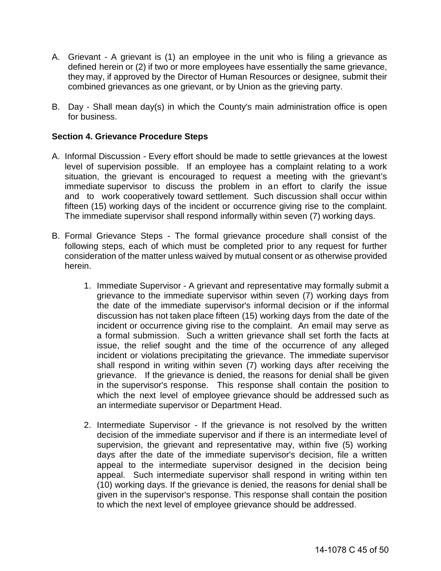- A. Grievant A grievant is (1) an employee in the unit who is filing a grievance as defined herein or (2) if two or more employees have essentially the same grievance, they may, if approved by the Director of Human Resources or designee, submit their combined grievances as one grievant, or by Union as the grieving party.
- B. Day Shall mean day(s) in which the County's main administration office is open for business.

#### **Section 4. Grievance Procedure Steps**

- A. Informal Discussion Every effort should be made to settle grievances at the lowest level of supervision possible. If an employee has a complaint relating to a work situation, the grievant is encouraged to request a meeting with the grievant's immediate supervisor to discuss the problem in an effort to clarify the issue and to work cooperatively toward settlement. Such discussion shall occur within fifteen (15) working days of the incident or occurrence giving rise to the complaint. The immediate supervisor shall respond informally within seven (7) working days.
- B. Formal Grievance Steps The formal grievance procedure shall consist of the following steps, each of which must be completed prior to any request for further consideration of the matter unless waived by mutual consent or as otherwise provided herein.
	- 1. Immediate Supervisor A grievant and representative may formally submit a grievance to the immediate supervisor within seven (7) working days from the date of the immediate supervisor's informal decision or if the informal discussion has not taken place fifteen (15) working days from the date of the incident or occurrence giving rise to the complaint. An email may serve as a formal submission. Such a written grievance shall set forth the facts at issue, the relief sought and the time of the occurrence of any alleged incident or violations precipitating the grievance. The immediate supervisor shall respond in writing within seven (7) working days after receiving the grievance. If the grievance is denied, the reasons for denial shall be given in the supervisor's response. This response shall contain the position to which the next level of employee grievance should be addressed such as an intermediate supervisor or Department Head.
	- 2. Intermediate Supervisor If the grievance is not resolved by the written decision of the immediate supervisor and if there is an intermediate level of supervision, the grievant and representative may, within five (5) working days after the date of the immediate supervisor's decision, file a written appeal to the intermediate supervisor designed in the decision being appeal. Such intermediate supervisor shall respond in writing within ten (10) working days. If the grievance is denied, the reasons for denial shall be given in the supervisor's response. This response shall contain the position to which the next level of employee grievance should be addressed.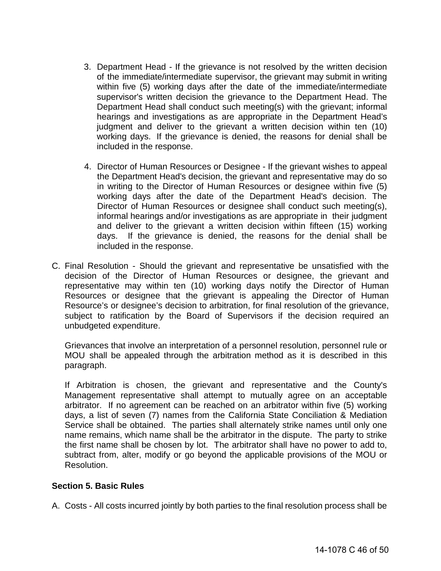- 3. Department Head If the grievance is not resolved by the written decision of the immediate/intermediate supervisor, the grievant may submit in writing within five (5) working days after the date of the immediate/intermediate supervisor's written decision the grievance to the Department Head. The Department Head shall conduct such meeting(s) with the grievant; informal hearings and investigations as are appropriate in the Department Head's judgment and deliver to the grievant a written decision within ten (10) working days. If the grievance is denied, the reasons for denial shall be included in the response.
- 4. Director of Human Resources or Designee If the grievant wishes to appeal the Department Head's decision, the grievant and representative may do so in writing to the Director of Human Resources or designee within five (5) working days after the date of the Department Head's decision. The Director of Human Resources or designee shall conduct such meeting(s), informal hearings and/or investigations as are appropriate in their judgment and deliver to the grievant a written decision within fifteen (15) working days. If the grievance is denied, the reasons for the denial shall be included in the response.
- C. Final Resolution Should the grievant and representative be unsatisfied with the decision of the Director of Human Resources or designee, the grievant and representative may within ten (10) working days notify the Director of Human Resources or designee that the grievant is appealing the Director of Human Resource's or designee's decision to arbitration, for final resolution of the grievance, subject to ratification by the Board of Supervisors if the decision required an unbudgeted expenditure.

Grievances that involve an interpretation of a personnel resolution, personnel rule or MOU shall be appealed through the arbitration method as it is described in this paragraph.

If Arbitration is chosen, the grievant and representative and the County's Management representative shall attempt to mutually agree on an acceptable arbitrator. If no agreement can be reached on an arbitrator within five (5) working days, a list of seven (7) names from the California State Conciliation & Mediation Service shall be obtained. The parties shall alternately strike names until only one name remains, which name shall be the arbitrator in the dispute. The party to strike the first name shall be chosen by lot. The arbitrator shall have no power to add to, subtract from, alter, modify or go beyond the applicable provisions of the MOU or Resolution.

#### **Section 5. Basic Rules**

A. Costs - All costs incurred jointly by both parties to the final resolution process shall be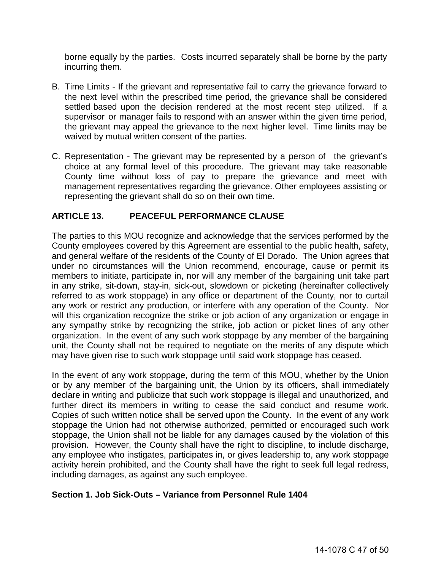borne equally by the parties. Costs incurred separately shall be borne by the party incurring them.

- B. Time Limits If the grievant and representative fail to carry the grievance forward to the next level within the prescribed time period, the grievance shall be considered settled based upon the decision rendered at the most recent step utilized. If a supervisor or manager fails to respond with an answer within the given time period, the grievant may appeal the grievance to the next higher level. Time limits may be waived by mutual written consent of the parties.
- C. Representation The grievant may be represented by a person of the grievant's choice at any formal level of this procedure. The grievant may take reasonable County time without loss of pay to prepare the grievance and meet with management representatives regarding the grievance. Other employees assisting or representing the grievant shall do so on their own time.

## <span id="page-46-0"></span>**ARTICLE 13. PEACEFUL PERFORMANCE CLAUSE**

The parties to this MOU recognize and acknowledge that the services performed by the County employees covered by this Agreement are essential to the public health, safety, and general welfare of the residents of the County of El Dorado. The Union agrees that under no circumstances will the Union recommend, encourage, cause or permit its members to initiate, participate in, nor will any member of the bargaining unit take part in any strike, sit-down, stay-in, sick-out, slowdown or picketing (hereinafter collectively referred to as work stoppage) in any office or department of the County, nor to curtail any work or restrict any production, or interfere with any operation of the County. Nor will this organization recognize the strike or job action of any organization or engage in any sympathy strike by recognizing the strike, job action or picket lines of any other organization. In the event of any such work stoppage by any member of the bargaining unit, the County shall not be required to negotiate on the merits of any dispute which may have given rise to such work stoppage until said work stoppage has ceased.

In the event of any work stoppage, during the term of this MOU, whether by the Union or by any member of the bargaining unit, the Union by its officers, shall immediately declare in writing and publicize that such work stoppage is illegal and unauthorized, and further direct its members in writing to cease the said conduct and resume work. Copies of such written notice shall be served upon the County. In the event of any work stoppage the Union had not otherwise authorized, permitted or encouraged such work stoppage, the Union shall not be liable for any damages caused by the violation of this provision. However, the County shall have the right to discipline, to include discharge, any employee who instigates, participates in, or gives leadership to, any work stoppage activity herein prohibited, and the County shall have the right to seek full legal redress, including damages, as against any such employee.

#### <span id="page-46-1"></span>**Section 1. Job Sick-Outs – Variance from Personnel Rule 1404**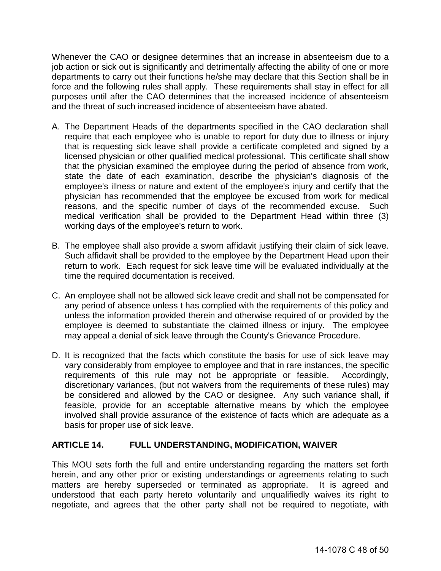Whenever the CAO or designee determines that an increase in absenteeism due to a job action or sick out is significantly and detrimentally affecting the ability of one or more departments to carry out their functions he/she may declare that this Section shall be in force and the following rules shall apply. These requirements shall stay in effect for all purposes until after the CAO determines that the increased incidence of absenteeism and the threat of such increased incidence of absenteeism have abated.

- A. The Department Heads of the departments specified in the CAO declaration shall require that each employee who is unable to report for duty due to illness or injury that is requesting sick leave shall provide a certificate completed and signed by a licensed physician or other qualified medical professional. This certificate shall show that the physician examined the employee during the period of absence from work, state the date of each examination, describe the physician's diagnosis of the employee's illness or nature and extent of the employee's injury and certify that the physician has recommended that the employee be excused from work for medical reasons, and the specific number of days of the recommended excuse. Such medical verification shall be provided to the Department Head within three (3) working days of the employee's return to work.
- B. The employee shall also provide a sworn affidavit justifying their claim of sick leave. Such affidavit shall be provided to the employee by the Department Head upon their return to work. Each request for sick leave time will be evaluated individually at the time the required documentation is received.
- C. An employee shall not be allowed sick leave credit and shall not be compensated for any period of absence unless t has complied with the requirements of this policy and unless the information provided therein and otherwise required of or provided by the employee is deemed to substantiate the claimed illness or injury. The employee may appeal a denial of sick leave through the County's Grievance Procedure.
- D. It is recognized that the facts which constitute the basis for use of sick leave may vary considerably from employee to employee and that in rare instances, the specific requirements of this rule may not be appropriate or feasible. Accordingly, discretionary variances, (but not waivers from the requirements of these rules) may be considered and allowed by the CAO or designee. Any such variance shall, if feasible, provide for an acceptable alternative means by which the employee involved shall provide assurance of the existence of facts which are adequate as a basis for proper use of sick leave.

#### <span id="page-47-0"></span>**ARTICLE 14. FULL UNDERSTANDING, MODIFICATION, WAIVER**

This MOU sets forth the full and entire understanding regarding the matters set forth herein, and any other prior or existing understandings or agreements relating to such matters are hereby superseded or terminated as appropriate. It is agreed and understood that each party hereto voluntarily and unqualifiedly waives its right to negotiate, and agrees that the other party shall not be required to negotiate, with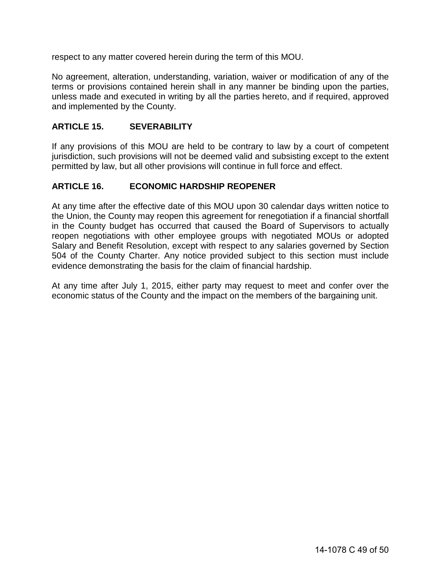respect to any matter covered herein during the term of this MOU.

No agreement, alteration, understanding, variation, waiver or modification of any of the terms or provisions contained herein shall in any manner be binding upon the parties, unless made and executed in writing by all the parties hereto, and if required, approved and implemented by the County.

#### <span id="page-48-0"></span>**ARTICLE 15. SEVERABILITY**

If any provisions of this MOU are held to be contrary to law by a court of competent jurisdiction, such provisions will not be deemed valid and subsisting except to the extent permitted by law, but all other provisions will continue in full force and effect.

#### <span id="page-48-1"></span>**ARTICLE 16. ECONOMIC HARDSHIP REOPENER**

At any time after the effective date of this MOU upon 30 calendar days written notice to the Union, the County may reopen this agreement for renegotiation if a financial shortfall in the County budget has occurred that caused the Board of Supervisors to actually reopen negotiations with other employee groups with negotiated MOUs or adopted Salary and Benefit Resolution, except with respect to any salaries governed by Section 504 of the County Charter. Any notice provided subject to this section must include evidence demonstrating the basis for the claim of financial hardship.

At any time after July 1, 2015, either party may request to meet and confer over the economic status of the County and the impact on the members of the bargaining unit.